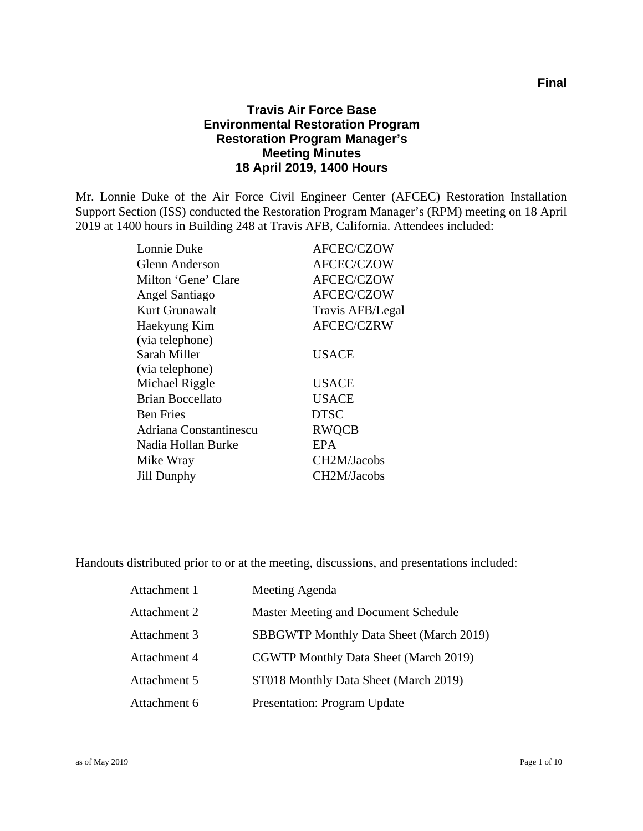#### **Travis Air Force Base Environmental Restoration Program Restoration Program Manager's Meeting Minutes 18 April 2019, 1400 Hours**

Mr. Lonnie Duke of the Air Force Civil Engineer Center (AFCEC) Restoration Installation Support Section (ISS) conducted the Restoration Program Manager's (RPM) meeting on 18 April 2019 at 1400 hours in Building 248 at Travis AFB, California. Attendees included:

| Lonnie Duke             | <b>AFCEC/CZOW</b>        |
|-------------------------|--------------------------|
| Glenn Anderson          | <b>AFCEC/CZOW</b>        |
| Milton 'Gene' Clare     | <b>AFCEC/CZOW</b>        |
| Angel Santiago          | <b>AFCEC/CZOW</b>        |
| Kurt Grunawalt          | Travis AFB/Legal         |
| Haekyung Kim            | <b>AFCEC/CZRW</b>        |
| (via telephone)         |                          |
| Sarah Miller            | USACE                    |
| (via telephone)         |                          |
| Michael Riggle          | <b>USACE</b>             |
| <b>Brian Boccellato</b> | <b>USACE</b>             |
| <b>Ben Fries</b>        | <b>DTSC</b>              |
| Adriana Constantinescu  | <b>RWQCB</b>             |
| Nadia Hollan Burke      | <b>EPA</b>               |
| Mike Wray               | CH <sub>2</sub> M/Jacobs |
| Jill Dunphy             | CH2M/Jacobs              |
|                         |                          |

Handouts distributed prior to or at the meeting, discussions, and presentations included:

| Attachment 1 | Meeting Agenda                                 |
|--------------|------------------------------------------------|
| Attachment 2 | Master Meeting and Document Schedule           |
| Attachment 3 | <b>SBBGWTP Monthly Data Sheet (March 2019)</b> |
| Attachment 4 | <b>CGWTP Monthly Data Sheet (March 2019)</b>   |
| Attachment 5 | ST018 Monthly Data Sheet (March 2019)          |
| Attachment 6 | <b>Presentation: Program Update</b>            |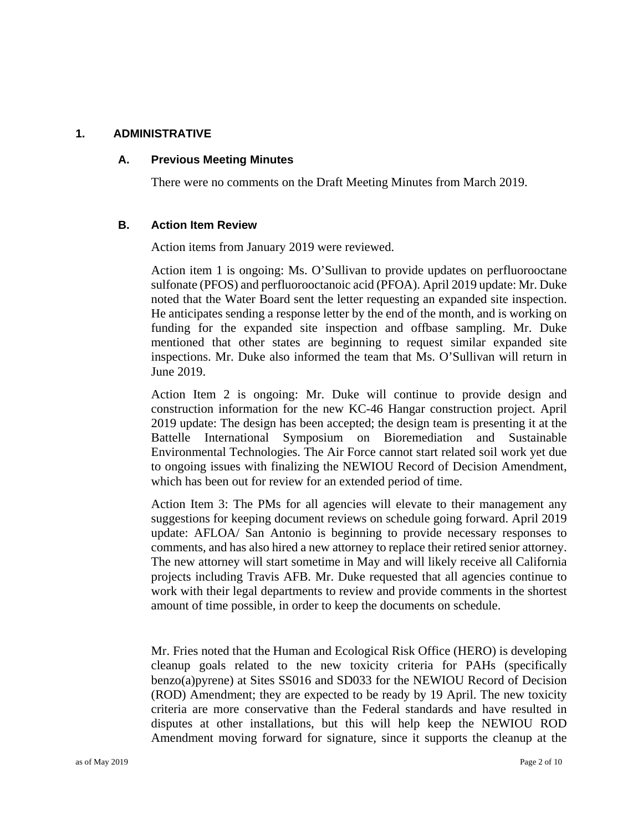#### **1. ADMINISTRATIVE**

#### **A. Previous Meeting Minutes**

There were no comments on the Draft Meeting Minutes from March 2019.

#### **B. Action Item Review**

Action items from January 2019 were reviewed.

Action item 1 is ongoing: Ms. O'Sullivan to provide updates on perfluorooctane sulfonate (PFOS) and perfluorooctanoic acid (PFOA). April 2019 update: Mr. Duke noted that the Water Board sent the letter requesting an expanded site inspection. He anticipates sending a response letter by the end of the month, and is working on funding for the expanded site inspection and offbase sampling. Mr. Duke mentioned that other states are beginning to request similar expanded site inspections. Mr. Duke also informed the team that Ms. O'Sullivan will return in June 2019.

Action Item 2 is ongoing: Mr. Duke will continue to provide design and construction information for the new KC-46 Hangar construction project. April 2019 update: The design has been accepted; the design team is presenting it at the Battelle International Symposium on Bioremediation and Sustainable Environmental Technologies. The Air Force cannot start related soil work yet due to ongoing issues with finalizing the NEWIOU Record of Decision Amendment, which has been out for review for an extended period of time.

Action Item 3: The PMs for all agencies will elevate to their management any suggestions for keeping document reviews on schedule going forward. April 2019 update: AFLOA/ San Antonio is beginning to provide necessary responses to comments, and has also hired a new attorney to replace their retired senior attorney. The new attorney will start sometime in May and will likely receive all California projects including Travis AFB. Mr. Duke requested that all agencies continue to work with their legal departments to review and provide comments in the shortest amount of time possible, in order to keep the documents on schedule.

Mr. Fries noted that the Human and Ecological Risk Office (HERO) is developing cleanup goals related to the new toxicity criteria for PAHs (specifically benzo(a)pyrene) at Sites SS016 and SD033 for the NEWIOU Record of Decision (ROD) Amendment; they are expected to be ready by 19 April. The new toxicity criteria are more conservative than the Federal standards and have resulted in disputes at other installations, but this will help keep the NEWIOU ROD Amendment moving forward for signature, since it supports the cleanup at the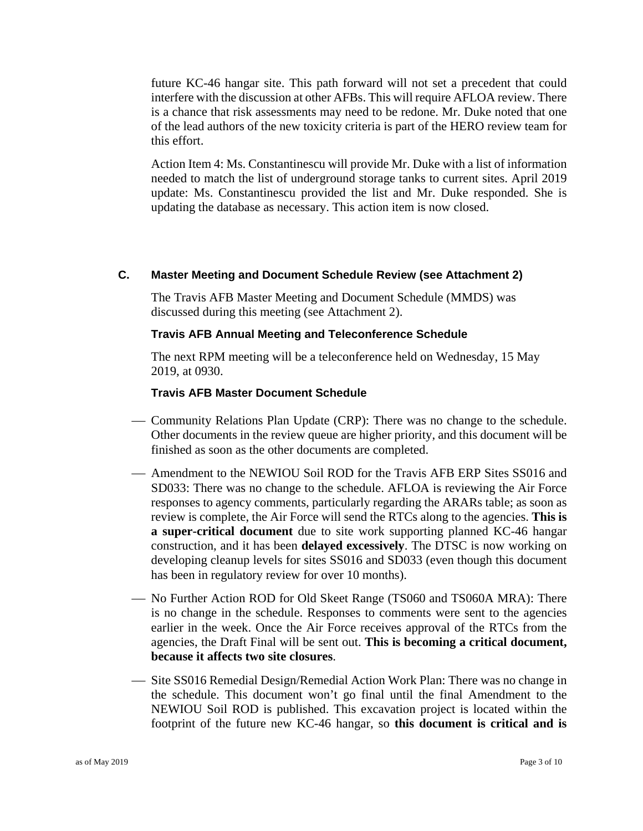future KC-46 hangar site. This path forward will not set a precedent that could interfere with the discussion at other AFBs. This will require AFLOA review. There is a chance that risk assessments may need to be redone. Mr. Duke noted that one of the lead authors of the new toxicity criteria is part of the HERO review team for this effort.

Action Item 4: Ms. Constantinescu will provide Mr. Duke with a list of information needed to match the list of underground storage tanks to current sites. April 2019 update: Ms. Constantinescu provided the list and Mr. Duke responded. She is updating the database as necessary. This action item is now closed.

#### **C. Master Meeting and Document Schedule Review (see Attachment 2)**

The Travis AFB Master Meeting and Document Schedule (MMDS) was discussed during this meeting (see Attachment 2).

#### **Travis AFB Annual Meeting and Teleconference Schedule**

The next RPM meeting will be a teleconference held on Wednesday, 15 May 2019, at 0930.

#### **Travis AFB Master Document Schedule**

- Community Relations Plan Update (CRP): There was no change to the schedule. Other documents in the review queue are higher priority, and this document will be finished as soon as the other documents are completed.
- Amendment to the NEWIOU Soil ROD for the Travis AFB ERP Sites SS016 and SD033: There was no change to the schedule. AFLOA is reviewing the Air Force responses to agency comments, particularly regarding the ARARs table; as soon as review is complete, the Air Force will send the RTCs along to the agencies. **This is a super-critical document** due to site work supporting planned KC-46 hangar construction, and it has been **delayed excessively**. The DTSC is now working on developing cleanup levels for sites SS016 and SD033 (even though this document has been in regulatory review for over 10 months).
- No Further Action ROD for Old Skeet Range (TS060 and TS060A MRA): There is no change in the schedule. Responses to comments were sent to the agencies earlier in the week. Once the Air Force receives approval of the RTCs from the agencies, the Draft Final will be sent out. **This is becoming a critical document, because it affects two site closures**.
- Site SS016 Remedial Design/Remedial Action Work Plan: There was no change in the schedule. This document won't go final until the final Amendment to the NEWIOU Soil ROD is published. This excavation project is located within the footprint of the future new KC-46 hangar, so **this document is critical and is**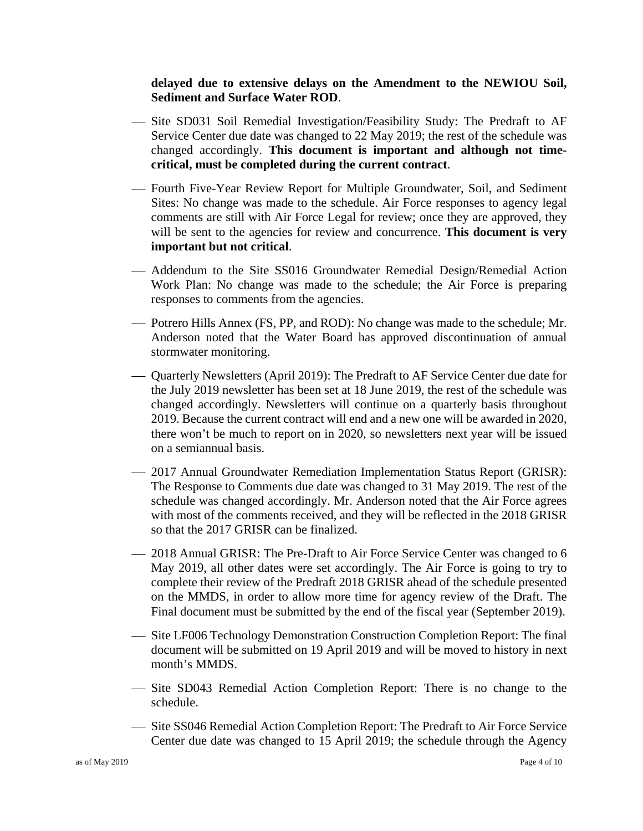#### **delayed due to extensive delays on the Amendment to the NEWIOU Soil, Sediment and Surface Water ROD**.

- Site SD031 Soil Remedial Investigation/Feasibility Study: The Predraft to AF Service Center due date was changed to 22 May 2019; the rest of the schedule was changed accordingly. **This document is important and although not timecritical, must be completed during the current contract**.
- Fourth Five-Year Review Report for Multiple Groundwater, Soil, and Sediment Sites: No change was made to the schedule. Air Force responses to agency legal comments are still with Air Force Legal for review; once they are approved, they will be sent to the agencies for review and concurrence. **This document is very important but not critical**.
- Addendum to the Site SS016 Groundwater Remedial Design/Remedial Action Work Plan: No change was made to the schedule; the Air Force is preparing responses to comments from the agencies.
- Potrero Hills Annex (FS, PP, and ROD): No change was made to the schedule; Mr. Anderson noted that the Water Board has approved discontinuation of annual stormwater monitoring.
- Quarterly Newsletters (April 2019): The Predraft to AF Service Center due date for the July 2019 newsletter has been set at 18 June 2019, the rest of the schedule was changed accordingly. Newsletters will continue on a quarterly basis throughout 2019. Because the current contract will end and a new one will be awarded in 2020, there won't be much to report on in 2020, so newsletters next year will be issued on a semiannual basis.
- 2017 Annual Groundwater Remediation Implementation Status Report (GRISR): The Response to Comments due date was changed to 31 May 2019. The rest of the schedule was changed accordingly. Mr. Anderson noted that the Air Force agrees with most of the comments received, and they will be reflected in the 2018 GRISR so that the 2017 GRISR can be finalized.
- 2018 Annual GRISR: The Pre-Draft to Air Force Service Center was changed to 6 May 2019, all other dates were set accordingly. The Air Force is going to try to complete their review of the Predraft 2018 GRISR ahead of the schedule presented on the MMDS, in order to allow more time for agency review of the Draft. The Final document must be submitted by the end of the fiscal year (September 2019).
- Site LF006 Technology Demonstration Construction Completion Report: The final document will be submitted on 19 April 2019 and will be moved to history in next month's MMDS.
- Site SD043 Remedial Action Completion Report: There is no change to the schedule.
- Site SS046 Remedial Action Completion Report: The Predraft to Air Force Service Center due date was changed to 15 April 2019; the schedule through the Agency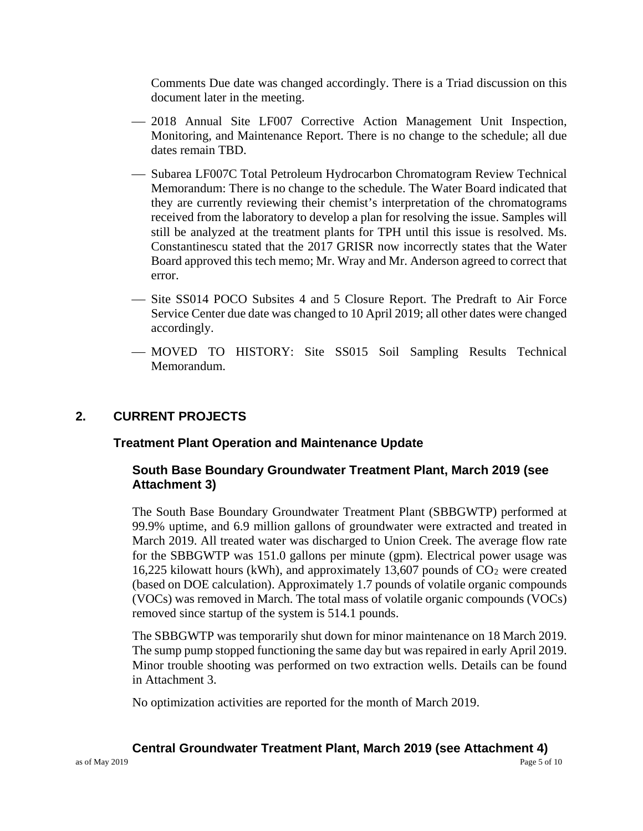Comments Due date was changed accordingly. There is a Triad discussion on this document later in the meeting.

- 2018 Annual Site LF007 Corrective Action Management Unit Inspection, Monitoring, and Maintenance Report. There is no change to the schedule; all due dates remain TBD.
- Subarea LF007C Total Petroleum Hydrocarbon Chromatogram Review Technical Memorandum: There is no change to the schedule. The Water Board indicated that they are currently reviewing their chemist's interpretation of the chromatograms received from the laboratory to develop a plan for resolving the issue. Samples will still be analyzed at the treatment plants for TPH until this issue is resolved. Ms. Constantinescu stated that the 2017 GRISR now incorrectly states that the Water Board approved this tech memo; Mr. Wray and Mr. Anderson agreed to correct that error.
- Site SS014 POCO Subsites 4 and 5 Closure Report. The Predraft to Air Force Service Center due date was changed to 10 April 2019; all other dates were changed accordingly.
- MOVED TO HISTORY: Site SS015 Soil Sampling Results Technical Memorandum.

#### **2. CURRENT PROJECTS**

#### **Treatment Plant Operation and Maintenance Update**

#### **South Base Boundary Groundwater Treatment Plant, March 2019 (see Attachment 3)**

The South Base Boundary Groundwater Treatment Plant (SBBGWTP) performed at 99.9% uptime, and 6.9 million gallons of groundwater were extracted and treated in March 2019. All treated water was discharged to Union Creek. The average flow rate for the SBBGWTP was 151.0 gallons per minute (gpm). Electrical power usage was 16,225 kilowatt hours (kWh), and approximately 13,607 pounds of  $CO<sub>2</sub>$  were created (based on DOE calculation). Approximately 1.7 pounds of volatile organic compounds (VOCs) was removed in March. The total mass of volatile organic compounds (VOCs) removed since startup of the system is 514.1 pounds.

The SBBGWTP was temporarily shut down for minor maintenance on 18 March 2019. The sump pump stopped functioning the same day but was repaired in early April 2019. Minor trouble shooting was performed on two extraction wells. Details can be found in Attachment 3.

No optimization activities are reported for the month of March 2019.

#### **Central Groundwater Treatment Plant, March 2019 (see Attachment 4)**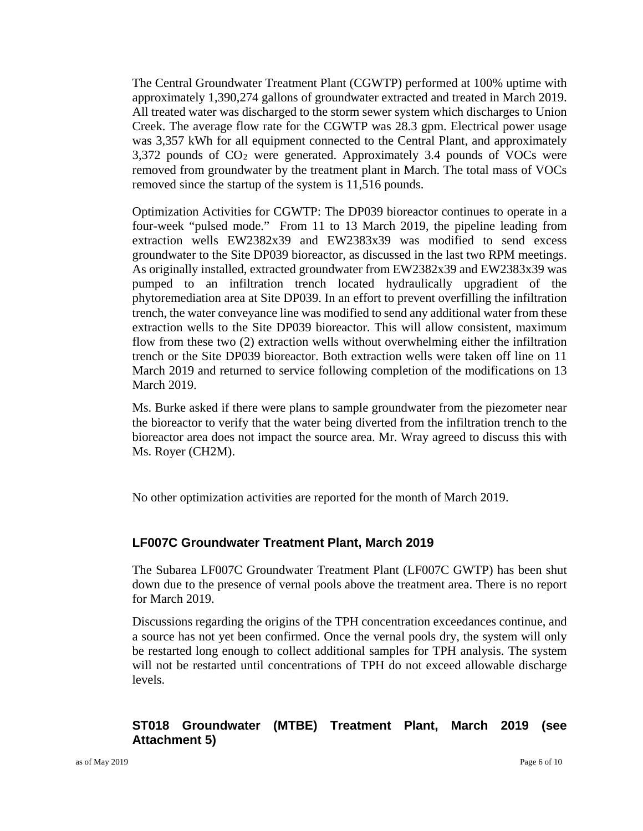The Central Groundwater Treatment Plant (CGWTP) performed at 100% uptime with approximately 1,390,274 gallons of groundwater extracted and treated in March 2019. All treated water was discharged to the storm sewer system which discharges to Union Creek. The average flow rate for the CGWTP was 28.3 gpm. Electrical power usage was 3,357 kWh for all equipment connected to the Central Plant, and approximately  $3,372$  pounds of  $CO<sub>2</sub>$  were generated. Approximately 3.4 pounds of VOCs were removed from groundwater by the treatment plant in March. The total mass of VOCs removed since the startup of the system is 11,516 pounds.

Optimization Activities for CGWTP: The DP039 bioreactor continues to operate in a four-week "pulsed mode." From 11 to 13 March 2019, the pipeline leading from extraction wells EW2382x39 and EW2383x39 was modified to send excess groundwater to the Site DP039 bioreactor, as discussed in the last two RPM meetings. As originally installed, extracted groundwater from EW2382x39 and EW2383x39 was pumped to an infiltration trench located hydraulically upgradient of the phytoremediation area at Site DP039. In an effort to prevent overfilling the infiltration trench, the water conveyance line was modified to send any additional water from these extraction wells to the Site DP039 bioreactor. This will allow consistent, maximum flow from these two (2) extraction wells without overwhelming either the infiltration trench or the Site DP039 bioreactor. Both extraction wells were taken off line on 11 March 2019 and returned to service following completion of the modifications on 13 March 2019.

Ms. Burke asked if there were plans to sample groundwater from the piezometer near the bioreactor to verify that the water being diverted from the infiltration trench to the bioreactor area does not impact the source area. Mr. Wray agreed to discuss this with Ms. Royer (CH2M).

No other optimization activities are reported for the month of March 2019.

#### **LF007C Groundwater Treatment Plant, March 2019**

The Subarea LF007C Groundwater Treatment Plant (LF007C GWTP) has been shut down due to the presence of vernal pools above the treatment area. There is no report for March 2019.

Discussions regarding the origins of the TPH concentration exceedances continue, and a source has not yet been confirmed. Once the vernal pools dry, the system will only be restarted long enough to collect additional samples for TPH analysis. The system will not be restarted until concentrations of TPH do not exceed allowable discharge levels.

#### **ST018 Groundwater (MTBE) Treatment Plant, March 2019 (see Attachment 5)**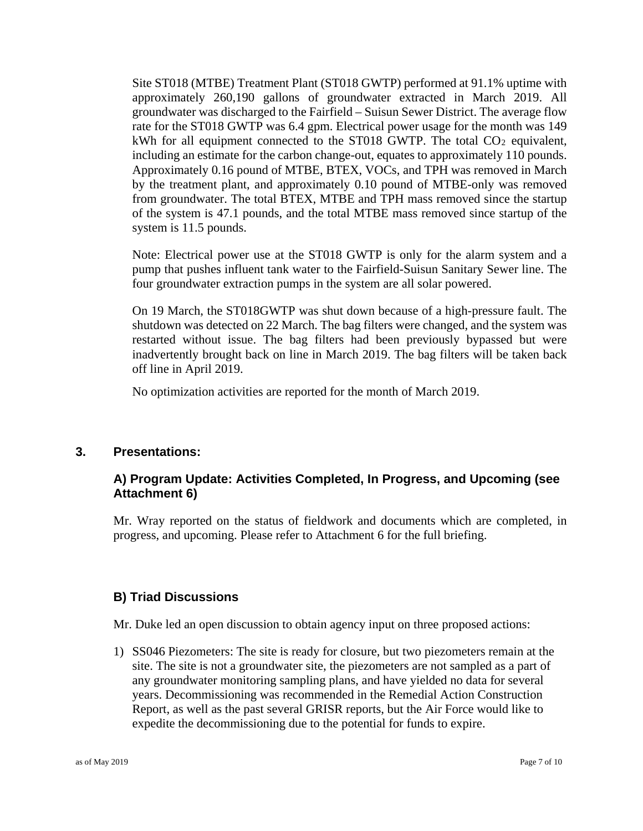Site ST018 (MTBE) Treatment Plant (ST018 GWTP) performed at 91.1% uptime with approximately 260,190 gallons of groundwater extracted in March 2019. All groundwater was discharged to the Fairfield – Suisun Sewer District. The average flow rate for the ST018 GWTP was 6.4 gpm. Electrical power usage for the month was 149 kWh for all equipment connected to the ST018 GWTP. The total  $CO<sub>2</sub>$  equivalent, including an estimate for the carbon change-out, equates to approximately 110 pounds. Approximately 0.16 pound of MTBE, BTEX, VOCs, and TPH was removed in March by the treatment plant, and approximately 0.10 pound of MTBE-only was removed from groundwater. The total BTEX, MTBE and TPH mass removed since the startup of the system is 47.1 pounds, and the total MTBE mass removed since startup of the system is 11.5 pounds.

Note: Electrical power use at the ST018 GWTP is only for the alarm system and a pump that pushes influent tank water to the Fairfield-Suisun Sanitary Sewer line. The four groundwater extraction pumps in the system are all solar powered.

On 19 March, the ST018GWTP was shut down because of a high-pressure fault. The shutdown was detected on 22 March. The bag filters were changed, and the system was restarted without issue. The bag filters had been previously bypassed but were inadvertently brought back on line in March 2019. The bag filters will be taken back off line in April 2019.

No optimization activities are reported for the month of March 2019.

#### **3. Presentations:**

#### **A) Program Update: Activities Completed, In Progress, and Upcoming (see Attachment 6)**

Mr. Wray reported on the status of fieldwork and documents which are completed, in progress, and upcoming. Please refer to Attachment 6 for the full briefing.

#### **B) Triad Discussions**

Mr. Duke led an open discussion to obtain agency input on three proposed actions:

1) SS046 Piezometers: The site is ready for closure, but two piezometers remain at the site. The site is not a groundwater site, the piezometers are not sampled as a part of any groundwater monitoring sampling plans, and have yielded no data for several years. Decommissioning was recommended in the Remedial Action Construction Report, as well as the past several GRISR reports, but the Air Force would like to expedite the decommissioning due to the potential for funds to expire.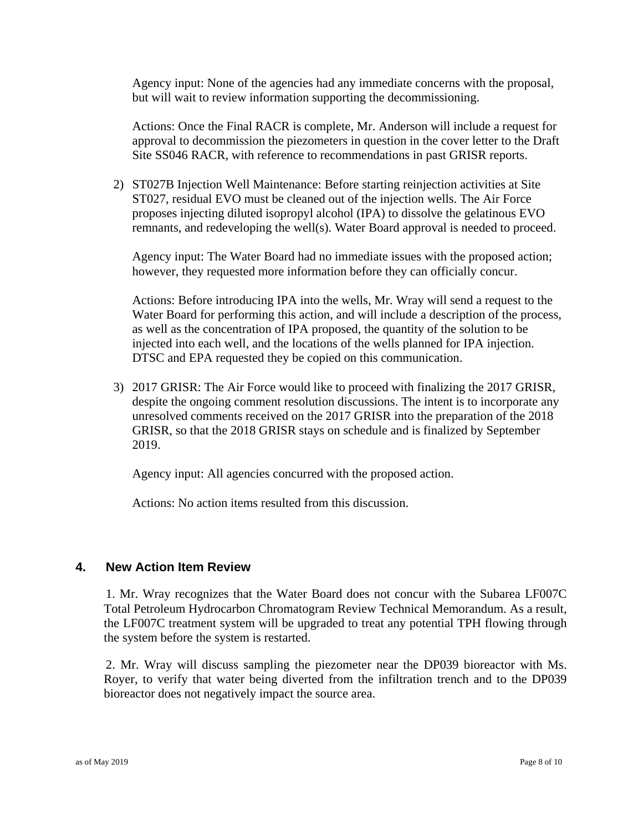Agency input: None of the agencies had any immediate concerns with the proposal, but will wait to review information supporting the decommissioning.

Actions: Once the Final RACR is complete, Mr. Anderson will include a request for approval to decommission the piezometers in question in the cover letter to the Draft Site SS046 RACR, with reference to recommendations in past GRISR reports.

2) ST027B Injection Well Maintenance: Before starting reinjection activities at Site ST027, residual EVO must be cleaned out of the injection wells. The Air Force proposes injecting diluted isopropyl alcohol (IPA) to dissolve the gelatinous EVO remnants, and redeveloping the well(s). Water Board approval is needed to proceed.

Agency input: The Water Board had no immediate issues with the proposed action; however, they requested more information before they can officially concur.

Actions: Before introducing IPA into the wells, Mr. Wray will send a request to the Water Board for performing this action, and will include a description of the process, as well as the concentration of IPA proposed, the quantity of the solution to be injected into each well, and the locations of the wells planned for IPA injection. DTSC and EPA requested they be copied on this communication.

3) 2017 GRISR: The Air Force would like to proceed with finalizing the 2017 GRISR, despite the ongoing comment resolution discussions. The intent is to incorporate any unresolved comments received on the 2017 GRISR into the preparation of the 2018 GRISR, so that the 2018 GRISR stays on schedule and is finalized by September 2019.

Agency input: All agencies concurred with the proposed action.

Actions: No action items resulted from this discussion.

#### **4. New Action Item Review**

1. Mr. Wray recognizes that the Water Board does not concur with the Subarea LF007C Total Petroleum Hydrocarbon Chromatogram Review Technical Memorandum. As a result, the LF007C treatment system will be upgraded to treat any potential TPH flowing through the system before the system is restarted.

2. Mr. Wray will discuss sampling the piezometer near the DP039 bioreactor with Ms. Royer, to verify that water being diverted from the infiltration trench and to the DP039 bioreactor does not negatively impact the source area.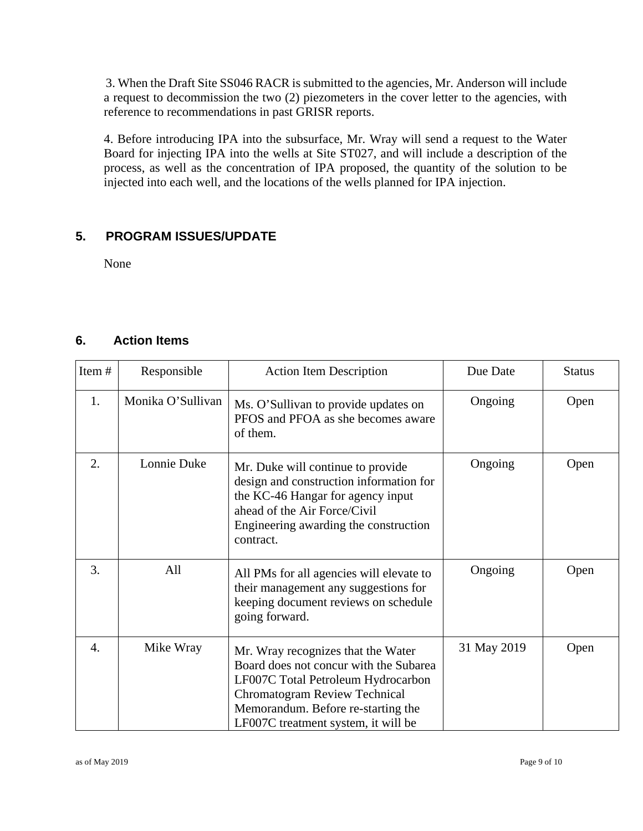3. When the Draft Site SS046 RACR is submitted to the agencies, Mr. Anderson will include a request to decommission the two (2) piezometers in the cover letter to the agencies, with reference to recommendations in past GRISR reports.

4. Before introducing IPA into the subsurface, Mr. Wray will send a request to the Water Board for injecting IPA into the wells at Site ST027, and will include a description of the process, as well as the concentration of IPA proposed, the quantity of the solution to be injected into each well, and the locations of the wells planned for IPA injection.

#### **5. PROGRAM ISSUES/UPDATE**

None

#### **6. Action Items**

| Item# | Responsible       | <b>Action Item Description</b>                                                                                                                                                                                                          | Due Date    | <b>Status</b> |
|-------|-------------------|-----------------------------------------------------------------------------------------------------------------------------------------------------------------------------------------------------------------------------------------|-------------|---------------|
| 1.    | Monika O'Sullivan | Ms. O'Sullivan to provide updates on<br>PFOS and PFOA as she becomes aware<br>of them.                                                                                                                                                  | Ongoing     | Open          |
| 2.    | Lonnie Duke       | Mr. Duke will continue to provide<br>design and construction information for<br>the KC-46 Hangar for agency input<br>ahead of the Air Force/Civil<br>Engineering awarding the construction<br>contract.                                 | Ongoing     | Open          |
| 3.    | All               | All PMs for all agencies will elevate to<br>their management any suggestions for<br>keeping document reviews on schedule<br>going forward.                                                                                              | Ongoing     | Open          |
| 4.    | Mike Wray         | Mr. Wray recognizes that the Water<br>Board does not concur with the Subarea<br>LF007C Total Petroleum Hydrocarbon<br><b>Chromatogram Review Technical</b><br>Memorandum. Before re-starting the<br>LF007C treatment system, it will be | 31 May 2019 | Open          |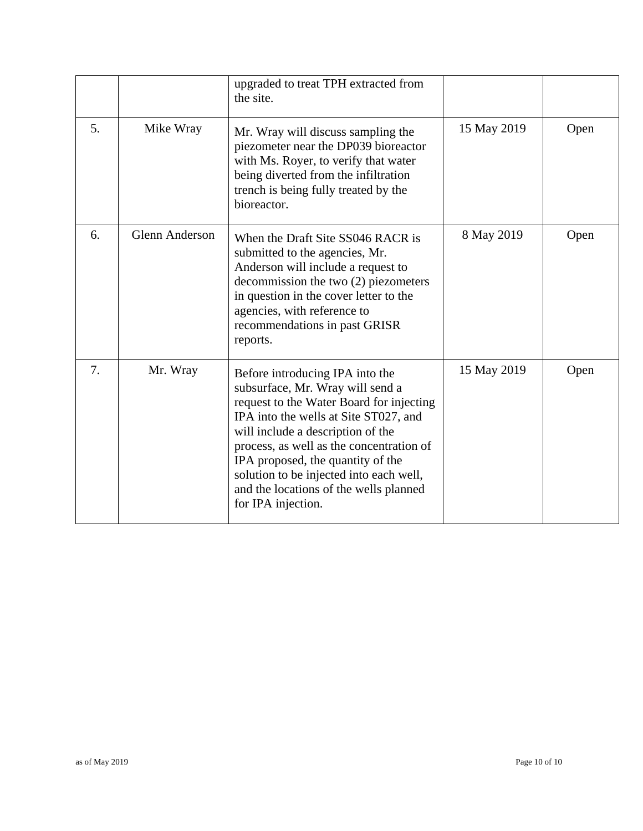|    |                       | upgraded to treat TPH extracted from<br>the site.                                                                                                                                                                                                                                                                                                                                         |             |      |
|----|-----------------------|-------------------------------------------------------------------------------------------------------------------------------------------------------------------------------------------------------------------------------------------------------------------------------------------------------------------------------------------------------------------------------------------|-------------|------|
| 5. | Mike Wray             | Mr. Wray will discuss sampling the<br>piezometer near the DP039 bioreactor<br>with Ms. Royer, to verify that water<br>being diverted from the infiltration<br>trench is being fully treated by the<br>bioreactor.                                                                                                                                                                         | 15 May 2019 | Open |
| 6. | <b>Glenn Anderson</b> | When the Draft Site SS046 RACR is<br>submitted to the agencies, Mr.<br>Anderson will include a request to<br>decommission the two (2) piezometers<br>in question in the cover letter to the<br>agencies, with reference to<br>recommendations in past GRISR<br>reports.                                                                                                                   | 8 May 2019  | Open |
| 7. | Mr. Wray              | Before introducing IPA into the<br>subsurface, Mr. Wray will send a<br>request to the Water Board for injecting<br>IPA into the wells at Site ST027, and<br>will include a description of the<br>process, as well as the concentration of<br>IPA proposed, the quantity of the<br>solution to be injected into each well,<br>and the locations of the wells planned<br>for IPA injection. | 15 May 2019 | Open |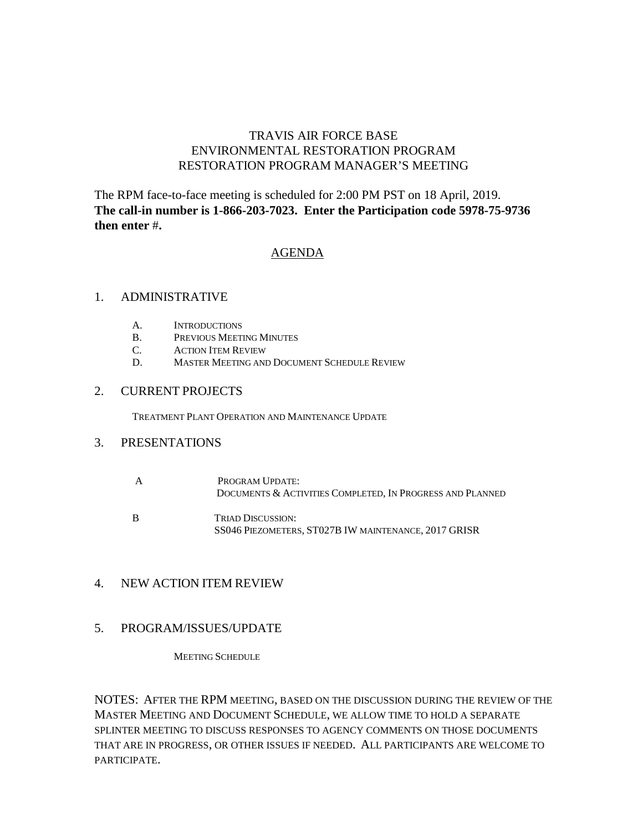#### TRAVIS AIR FORCE BASE ENVIRONMENTAL RESTORATION PROGRAM RESTORATION PROGRAM MANAGER'S MEETING

The RPM face-to-face meeting is scheduled for 2:00 PM PST on 18 April, 2019. **The call-in number is 1-866-203-7023. Enter the Participation code 5978-75-9736 then enter** #**.** 

#### AGENDA

#### 1. ADMINISTRATIVE

- A. INTRODUCTIONS
- B. PREVIOUS MEETING MINUTES
- C. ACTION ITEM REVIEW
- D. MASTER MEETING AND DOCUMENT SCHEDULE REVIEW

#### 2. CURRENT PROJECTS

TREATMENT PLANT OPERATION AND MAINTENANCE UPDATE

#### 3. PRESENTATIONS

- A PROGRAM UPDATE: DOCUMENTS & ACTIVITIES COMPLETED, IN PROGRESS AND PLANNED
- B TRIAD DISCUSSION: SS046 PIEZOMETERS, ST027B IW MAINTENANCE, 2017 GRISR

#### 4. NEW ACTION ITEM REVIEW

#### 5. PROGRAM/ISSUES/UPDATE

MEETING SCHEDULE

NOTES: AFTER THE RPM MEETING, BASED ON THE DISCUSSION DURING THE REVIEW OF THE MASTER MEETING AND DOCUMENT SCHEDULE, WE ALLOW TIME TO HOLD A SEPARATE SPLINTER MEETING TO DISCUSS RESPONSES TO AGENCY COMMENTS ON THOSE DOCUMENTS THAT ARE IN PROGRESS, OR OTHER ISSUES IF NEEDED. ALL PARTICIPANTS ARE WELCOME TO PARTICIPATE.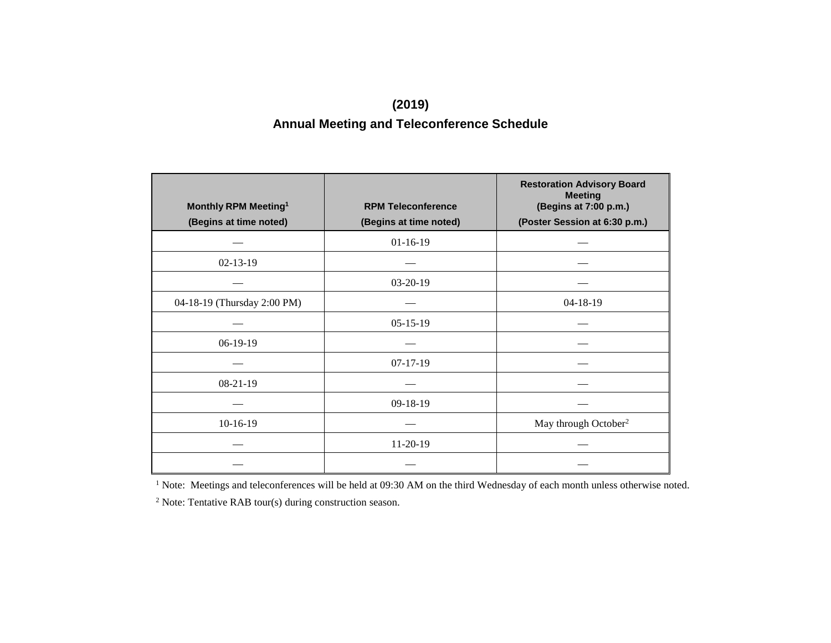#### **(2019) Annual Meeting and Teleconference Schedule**

| Monthly RPM Meeting <sup>1</sup> | <b>RPM Teleconference</b> | <b>Restoration Advisory Board</b><br><b>Meeting</b><br>(Begins at 7:00 p.m.) |
|----------------------------------|---------------------------|------------------------------------------------------------------------------|
| (Begins at time noted)           | (Begins at time noted)    | (Poster Session at 6:30 p.m.)                                                |
|                                  | $01-16-19$                |                                                                              |
| $02 - 13 - 19$                   |                           |                                                                              |
|                                  | $03-20-19$                |                                                                              |
| 04-18-19 (Thursday 2:00 PM)      |                           | $04-18-19$                                                                   |
|                                  | $05-15-19$                |                                                                              |
| $06-19-19$                       |                           |                                                                              |
|                                  | $07-17-19$                |                                                                              |
| $08-21-19$                       |                           |                                                                              |
|                                  | 09-18-19                  |                                                                              |
| $10-16-19$                       |                           | May through October <sup>2</sup>                                             |
|                                  | $11-20-19$                |                                                                              |
|                                  |                           |                                                                              |

<sup>1</sup> Note: Meetings and teleconferences will be held at 09:30 AM on the third Wednesday of each month unless otherwise noted.

<sup>2</sup> Note: Tentative RAB tour(s) during construction season.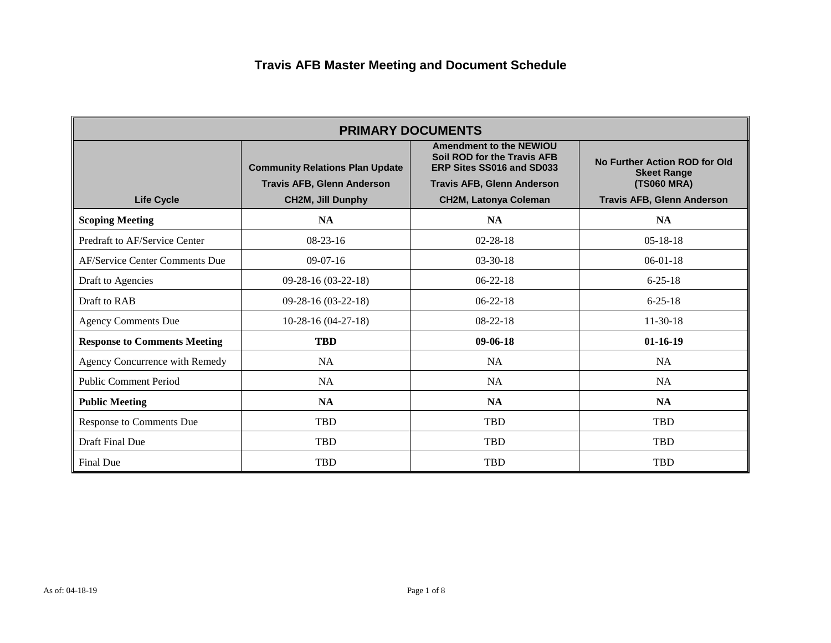| <b>PRIMARY DOCUMENTS</b>            |                                        |                                                                                            |                                                     |
|-------------------------------------|----------------------------------------|--------------------------------------------------------------------------------------------|-----------------------------------------------------|
|                                     | <b>Community Relations Plan Update</b> | <b>Amendment to the NEWIOU</b><br>Soil ROD for the Travis AFB<br>ERP Sites SS016 and SD033 | No Further Action ROD for Old<br><b>Skeet Range</b> |
|                                     | <b>Travis AFB, Glenn Anderson</b>      | <b>Travis AFB, Glenn Anderson</b>                                                          | (TS060 MRA)                                         |
| <b>Life Cycle</b>                   | <b>CH2M, Jill Dunphy</b>               | <b>CH2M, Latonya Coleman</b>                                                               | <b>Travis AFB, Glenn Anderson</b>                   |
| <b>Scoping Meeting</b>              | <b>NA</b>                              | <b>NA</b>                                                                                  | <b>NA</b>                                           |
| Predraft to AF/Service Center       | $08-23-16$                             | $02 - 28 - 18$                                                                             | $05-18-18$                                          |
| AF/Service Center Comments Due      | $09-07-16$                             | $03 - 30 - 18$                                                                             | $06-01-18$                                          |
| Draft to Agencies                   | 09-28-16 (03-22-18)                    | $06 - 22 - 18$                                                                             | $6 - 25 - 18$                                       |
| Draft to RAB                        | 09-28-16 (03-22-18)                    | $06-22-18$                                                                                 | $6 - 25 - 18$                                       |
| <b>Agency Comments Due</b>          | $10-28-16(04-27-18)$                   | $08-22-18$                                                                                 | $11-30-18$                                          |
| <b>Response to Comments Meeting</b> | <b>TBD</b>                             | $09-06-18$                                                                                 | $01-16-19$                                          |
| Agency Concurrence with Remedy      | <b>NA</b>                              | <b>NA</b>                                                                                  | <b>NA</b>                                           |
| <b>Public Comment Period</b>        | <b>NA</b>                              | <b>NA</b>                                                                                  | <b>NA</b>                                           |
| <b>Public Meeting</b>               | <b>NA</b>                              | <b>NA</b>                                                                                  | <b>NA</b>                                           |
| Response to Comments Due            | <b>TBD</b>                             | <b>TBD</b>                                                                                 | TBD                                                 |
| Draft Final Due                     | <b>TBD</b>                             | <b>TBD</b>                                                                                 | <b>TBD</b>                                          |
| Final Due                           | <b>TBD</b>                             | <b>TBD</b>                                                                                 | <b>TBD</b>                                          |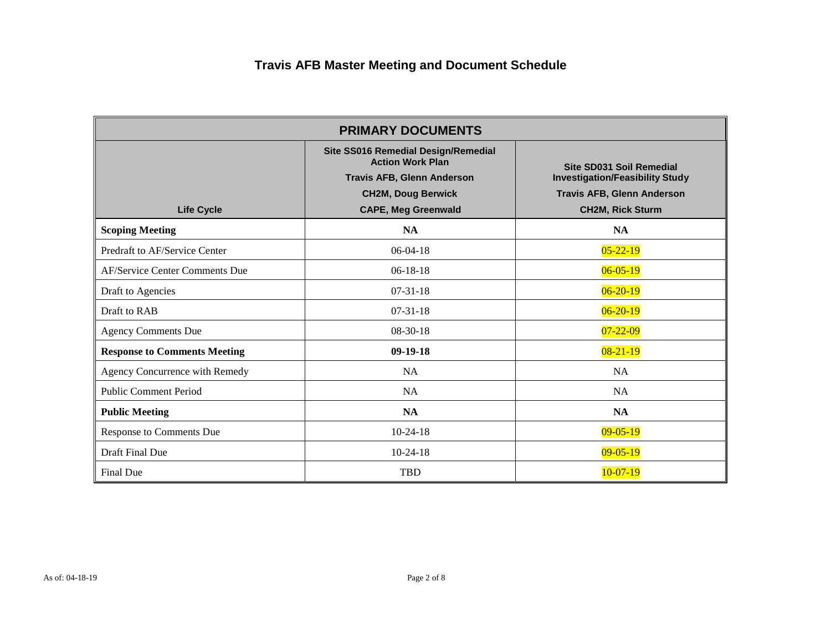| <b>PRIMARY DOCUMENTS</b>            |                                                                                                                                                                |                                                                                                                                    |  |
|-------------------------------------|----------------------------------------------------------------------------------------------------------------------------------------------------------------|------------------------------------------------------------------------------------------------------------------------------------|--|
| <b>Life Cycle</b>                   | Site SS016 Remedial Design/Remedial<br><b>Action Work Plan</b><br><b>Travis AFB, Glenn Anderson</b><br><b>CH2M, Doug Berwick</b><br><b>CAPE, Meg Greenwald</b> | Site SD031 Soil Remedial<br><b>Investigation/Feasibility Study</b><br><b>Travis AFB, Glenn Anderson</b><br><b>CH2M, Rick Sturm</b> |  |
| <b>Scoping Meeting</b>              | <b>NA</b>                                                                                                                                                      | <b>NA</b>                                                                                                                          |  |
| Predraft to AF/Service Center       | $06-04-18$                                                                                                                                                     | $05 - 22 - 19$                                                                                                                     |  |
| AF/Service Center Comments Due      | $06-18-18$                                                                                                                                                     | $06 - 05 - 19$                                                                                                                     |  |
| Draft to Agencies                   | $07-31-18$                                                                                                                                                     | $06 - 20 - 19$                                                                                                                     |  |
| Draft to RAB                        | $07-31-18$                                                                                                                                                     | $06 - 20 - 19$                                                                                                                     |  |
| <b>Agency Comments Due</b>          | $08-30-18$                                                                                                                                                     | $07 - 22 - 09$                                                                                                                     |  |
| <b>Response to Comments Meeting</b> | $09-19-18$                                                                                                                                                     | $08 - 21 - 19$                                                                                                                     |  |
| Agency Concurrence with Remedy      | <b>NA</b>                                                                                                                                                      | <b>NA</b>                                                                                                                          |  |
| <b>Public Comment Period</b>        | <b>NA</b>                                                                                                                                                      | <b>NA</b>                                                                                                                          |  |
| <b>Public Meeting</b>               | <b>NA</b>                                                                                                                                                      | <b>NA</b>                                                                                                                          |  |
| Response to Comments Due            | $10-24-18$                                                                                                                                                     | $09 - 05 - 19$                                                                                                                     |  |
| Draft Final Due                     | $10-24-18$                                                                                                                                                     | $09 - 05 - 19$                                                                                                                     |  |
| Final Due                           | <b>TBD</b>                                                                                                                                                     | $10-07-19$                                                                                                                         |  |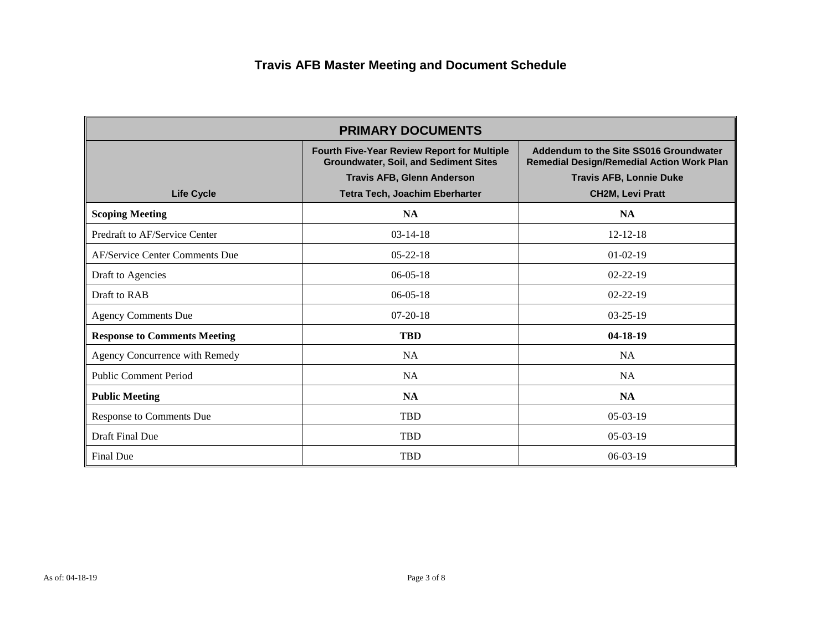| <b>PRIMARY DOCUMENTS</b>            |                                                                                                    |                                                                                            |  |
|-------------------------------------|----------------------------------------------------------------------------------------------------|--------------------------------------------------------------------------------------------|--|
|                                     | <b>Fourth Five-Year Review Report for Multiple</b><br><b>Groundwater, Soil, and Sediment Sites</b> | Addendum to the Site SS016 Groundwater<br><b>Remedial Design/Remedial Action Work Plan</b> |  |
|                                     | <b>Travis AFB, Glenn Anderson</b>                                                                  | <b>Travis AFB, Lonnie Duke</b>                                                             |  |
| <b>Life Cycle</b>                   | Tetra Tech, Joachim Eberharter                                                                     | <b>CH2M, Levi Pratt</b>                                                                    |  |
| <b>Scoping Meeting</b>              | <b>NA</b>                                                                                          | <b>NA</b>                                                                                  |  |
| Predraft to AF/Service Center       | $03-14-18$                                                                                         | $12 - 12 - 18$                                                                             |  |
| AF/Service Center Comments Due      | $05 - 22 - 18$                                                                                     | $01-02-19$                                                                                 |  |
| Draft to Agencies                   | $06-05-18$                                                                                         | $02 - 22 - 19$                                                                             |  |
| Draft to RAB                        | $06-05-18$                                                                                         | $02 - 22 - 19$                                                                             |  |
| <b>Agency Comments Due</b>          | $07-20-18$                                                                                         | $03 - 25 - 19$                                                                             |  |
| <b>Response to Comments Meeting</b> | <b>TBD</b>                                                                                         | $04-18-19$                                                                                 |  |
| Agency Concurrence with Remedy      | <b>NA</b>                                                                                          | <b>NA</b>                                                                                  |  |
| <b>Public Comment Period</b>        | <b>NA</b>                                                                                          | <b>NA</b>                                                                                  |  |
| <b>Public Meeting</b>               | <b>NA</b>                                                                                          | <b>NA</b>                                                                                  |  |
| Response to Comments Due            | <b>TBD</b>                                                                                         | $05-03-19$                                                                                 |  |
| Draft Final Due                     | <b>TBD</b>                                                                                         | $05-03-19$                                                                                 |  |
| Final Due                           | <b>TBD</b>                                                                                         | $06-03-19$                                                                                 |  |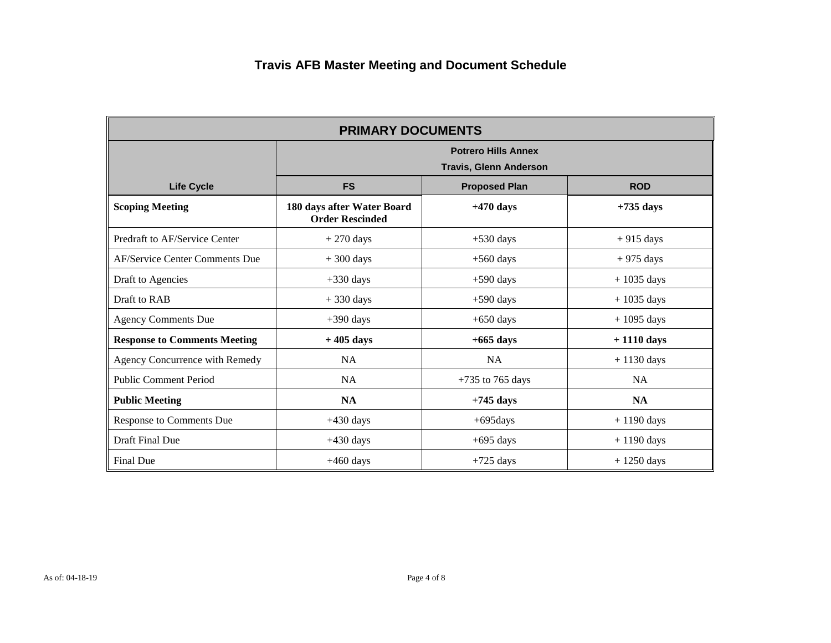| <b>PRIMARY DOCUMENTS</b>            |                                                      |                                                             |                      |  |
|-------------------------------------|------------------------------------------------------|-------------------------------------------------------------|----------------------|--|
|                                     |                                                      | <b>Potrero Hills Annex</b><br><b>Travis, Glenn Anderson</b> |                      |  |
| <b>Life Cycle</b>                   | <b>FS</b>                                            | <b>ROD</b><br><b>Proposed Plan</b>                          |                      |  |
| <b>Scoping Meeting</b>              | 180 days after Water Board<br><b>Order Rescinded</b> | $+470$ days                                                 | $+735$ days          |  |
| Predraft to AF/Service Center       | $+270$ days                                          | $+530$ days                                                 | $+915$ days          |  |
| AF/Service Center Comments Due      | $+300$ days                                          | $+560$ days                                                 | $+975$ days          |  |
| Draft to Agencies                   | $+330$ days                                          | $+590$ days                                                 | $+1035$ days         |  |
| Draft to RAB                        | $+330$ days                                          | $+590$ days                                                 | $+1035$ days         |  |
| <b>Agency Comments Due</b>          | $+390$ days                                          | $+650$ days                                                 | $+1095$ days         |  |
| <b>Response to Comments Meeting</b> | $+405$ days                                          | $+665$ days                                                 | $+1110$ days         |  |
| Agency Concurrence with Remedy      | <b>NA</b>                                            | <b>NA</b>                                                   | $+1130$ days         |  |
| <b>Public Comment Period</b>        | <b>NA</b>                                            | $+735$ to 765 days                                          | <b>NA</b>            |  |
| <b>Public Meeting</b>               | <b>NA</b>                                            | $+745$ days                                                 | <b>NA</b>            |  |
| Response to Comments Due            | $+430$ days                                          | $+695$ days                                                 | $+1190$ days         |  |
| Draft Final Due                     | $+430$ days                                          | $+695$ days                                                 | $+1190$ days         |  |
| Final Due                           | $+460$ days                                          | $+725$ days                                                 | $+1250 \text{ days}$ |  |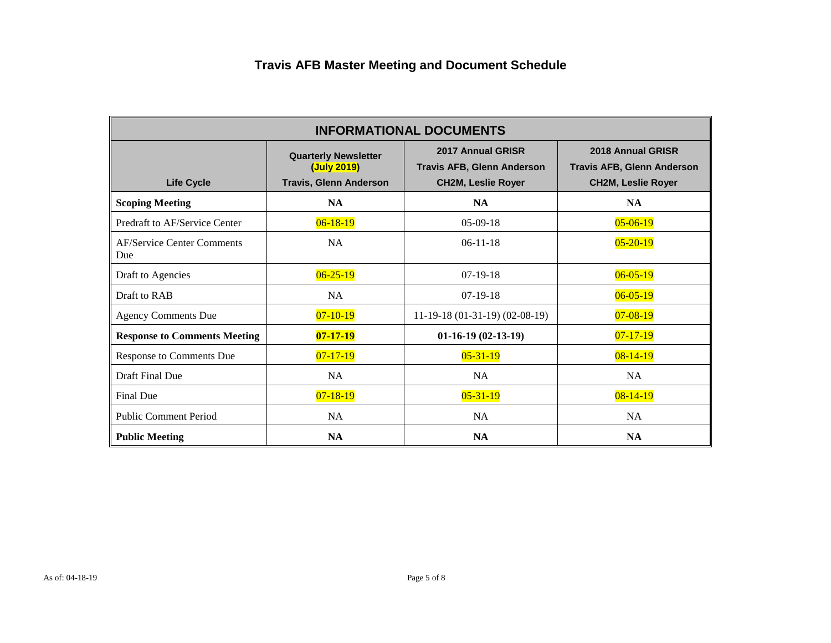| <b>INFORMATIONAL DOCUMENTS</b>           |                                                                             |                                                                                     |                                                                                     |
|------------------------------------------|-----------------------------------------------------------------------------|-------------------------------------------------------------------------------------|-------------------------------------------------------------------------------------|
| <b>Life Cycle</b>                        | <b>Quarterly Newsletter</b><br>(July 2019)<br><b>Travis, Glenn Anderson</b> | 2017 Annual GRISR<br><b>Travis AFB, Glenn Anderson</b><br><b>CH2M, Leslie Royer</b> | 2018 Annual GRISR<br><b>Travis AFB, Glenn Anderson</b><br><b>CH2M, Leslie Royer</b> |
| <b>Scoping Meeting</b>                   | <b>NA</b>                                                                   | <b>NA</b>                                                                           | <b>NA</b>                                                                           |
| Predraft to AF/Service Center            | $06 - 18 - 19$                                                              | $05-09-18$                                                                          | $05 - 06 - 19$                                                                      |
| <b>AF/Service Center Comments</b><br>Due | NA                                                                          | $06-11-18$                                                                          | $05 - 20 - 19$                                                                      |
| Draft to Agencies                        | $06 - 25 - 19$                                                              | $07-19-18$                                                                          | $06 - 05 - 19$                                                                      |
| Draft to RAB                             | NA                                                                          | $07-19-18$                                                                          | $06 - 05 - 19$                                                                      |
| <b>Agency Comments Due</b>               | $07 - 10 - 19$                                                              | $11-19-18(01-31-19)(02-08-19)$                                                      | $07 - 08 - 19$                                                                      |
| <b>Response to Comments Meeting</b>      | $07 - 17 - 19$                                                              | $01-16-19(02-13-19)$                                                                | $07 - 17 - 19$                                                                      |
| Response to Comments Due                 | $07 - 17 - 19$                                                              | $05 - 31 - 19$                                                                      | $08 - 14 - 19$                                                                      |
| Draft Final Due                          | NA                                                                          | NA                                                                                  | <b>NA</b>                                                                           |
| Final Due                                | $07 - 18 - 19$                                                              | $05 - 31 - 19$                                                                      | $08 - 14 - 19$                                                                      |
| <b>Public Comment Period</b>             | NA                                                                          | NA                                                                                  | NA                                                                                  |
| <b>Public Meeting</b>                    | <b>NA</b>                                                                   | <b>NA</b>                                                                           | <b>NA</b>                                                                           |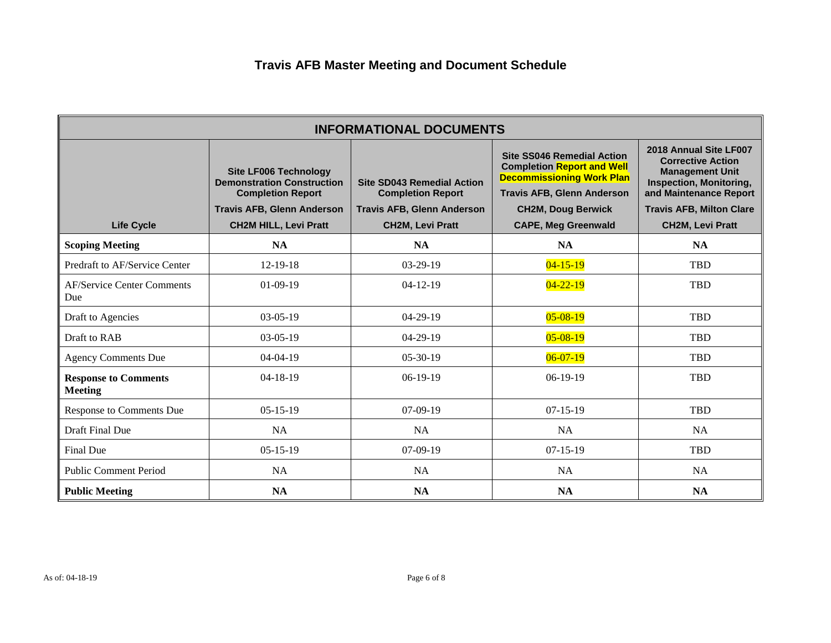| <b>INFORMATIONAL DOCUMENTS</b>                |                                                                                                                                                                    |                                                                                                                               |                                                                                                                                                                                                            |                                                                                                                                                                                                        |
|-----------------------------------------------|--------------------------------------------------------------------------------------------------------------------------------------------------------------------|-------------------------------------------------------------------------------------------------------------------------------|------------------------------------------------------------------------------------------------------------------------------------------------------------------------------------------------------------|--------------------------------------------------------------------------------------------------------------------------------------------------------------------------------------------------------|
| <b>Life Cycle</b>                             | <b>Site LF006 Technology</b><br><b>Demonstration Construction</b><br><b>Completion Report</b><br><b>Travis AFB, Glenn Anderson</b><br><b>CH2M HILL, Levi Pratt</b> | <b>Site SD043 Remedial Action</b><br><b>Completion Report</b><br><b>Travis AFB, Glenn Anderson</b><br><b>CH2M, Levi Pratt</b> | <b>Site SS046 Remedial Action</b><br><b>Completion Report and Well</b><br><b>Decommissioning Work Plan</b><br><b>Travis AFB, Glenn Anderson</b><br><b>CH2M, Doug Berwick</b><br><b>CAPE, Meg Greenwald</b> | 2018 Annual Site LF007<br><b>Corrective Action</b><br><b>Management Unit</b><br><b>Inspection, Monitoring,</b><br>and Maintenance Report<br><b>Travis AFB, Milton Clare</b><br><b>CH2M, Levi Pratt</b> |
| <b>Scoping Meeting</b>                        | <b>NA</b>                                                                                                                                                          | <b>NA</b>                                                                                                                     | <b>NA</b>                                                                                                                                                                                                  | <b>NA</b>                                                                                                                                                                                              |
| Predraft to AF/Service Center                 | $12-19-18$                                                                                                                                                         | $03-29-19$                                                                                                                    | $04 - 15 - 19$                                                                                                                                                                                             | <b>TBD</b>                                                                                                                                                                                             |
| <b>AF/Service Center Comments</b><br>Due      | $01-09-19$                                                                                                                                                         | $04-12-19$                                                                                                                    | $04 - 22 - 19$                                                                                                                                                                                             | <b>TBD</b>                                                                                                                                                                                             |
| Draft to Agencies                             | $03-05-19$                                                                                                                                                         | $04-29-19$                                                                                                                    | $05 - 08 - 19$                                                                                                                                                                                             | <b>TBD</b>                                                                                                                                                                                             |
| Draft to RAB                                  | $03-05-19$                                                                                                                                                         | $04-29-19$                                                                                                                    | $05 - 08 - 19$                                                                                                                                                                                             | <b>TBD</b>                                                                                                                                                                                             |
| <b>Agency Comments Due</b>                    | $04 - 04 - 19$                                                                                                                                                     | $05-30-19$                                                                                                                    | $06 - 07 - 19$                                                                                                                                                                                             | <b>TBD</b>                                                                                                                                                                                             |
| <b>Response to Comments</b><br><b>Meeting</b> | $04-18-19$                                                                                                                                                         | $06-19-19$                                                                                                                    | $06-19-19$                                                                                                                                                                                                 | <b>TBD</b>                                                                                                                                                                                             |
| <b>Response to Comments Due</b>               | $05-15-19$                                                                                                                                                         | $07-09-19$                                                                                                                    | $07-15-19$                                                                                                                                                                                                 | <b>TBD</b>                                                                                                                                                                                             |
| Draft Final Due                               | <b>NA</b>                                                                                                                                                          | <b>NA</b>                                                                                                                     | <b>NA</b>                                                                                                                                                                                                  | <b>NA</b>                                                                                                                                                                                              |
| Final Due                                     | $05-15-19$                                                                                                                                                         | $07-09-19$                                                                                                                    | $07-15-19$                                                                                                                                                                                                 | <b>TBD</b>                                                                                                                                                                                             |
| <b>Public Comment Period</b>                  | <b>NA</b>                                                                                                                                                          | NA                                                                                                                            | <b>NA</b>                                                                                                                                                                                                  | NA                                                                                                                                                                                                     |
| <b>Public Meeting</b>                         | <b>NA</b>                                                                                                                                                          | NA                                                                                                                            | <b>NA</b>                                                                                                                                                                                                  | <b>NA</b>                                                                                                                                                                                              |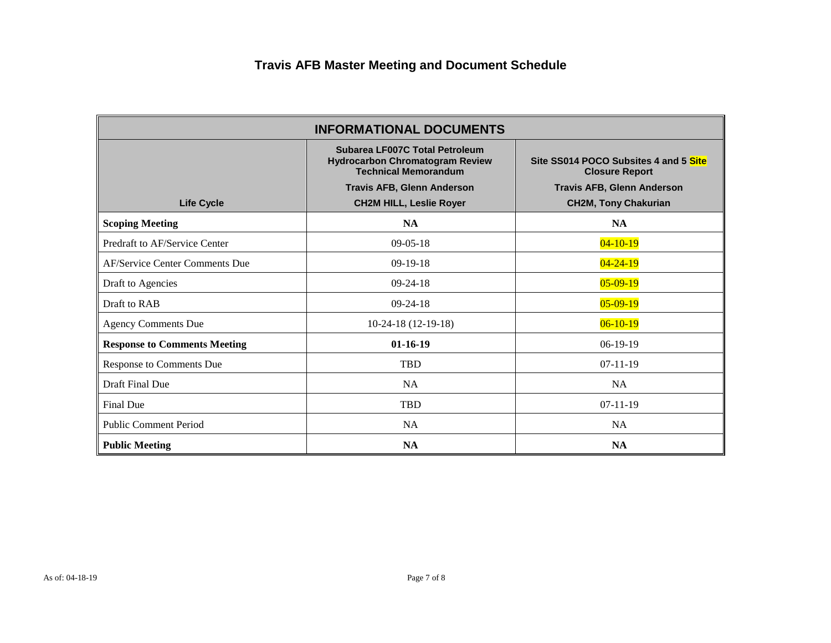| <b>INFORMATIONAL DOCUMENTS</b>      |                                                                                                                                                                                |                                                                                                                                    |  |
|-------------------------------------|--------------------------------------------------------------------------------------------------------------------------------------------------------------------------------|------------------------------------------------------------------------------------------------------------------------------------|--|
| <b>Life Cycle</b>                   | Subarea LF007C Total Petroleum<br><b>Hydrocarbon Chromatogram Review</b><br><b>Technical Memorandum</b><br><b>Travis AFB, Glenn Anderson</b><br><b>CH2M HILL, Leslie Royer</b> | Site SS014 POCO Subsites 4 and 5 Site<br><b>Closure Report</b><br><b>Travis AFB, Glenn Anderson</b><br><b>CH2M, Tony Chakurian</b> |  |
| <b>Scoping Meeting</b>              | <b>NA</b>                                                                                                                                                                      | <b>NA</b>                                                                                                                          |  |
| Predraft to AF/Service Center       | $09-05-18$                                                                                                                                                                     | $04 - 10 - 19$                                                                                                                     |  |
| AF/Service Center Comments Due      | $09-19-18$                                                                                                                                                                     | $04 - 24 - 19$                                                                                                                     |  |
| Draft to Agencies                   | $09-24-18$                                                                                                                                                                     | $05-09-19$                                                                                                                         |  |
| Draft to RAB                        | $09-24-18$                                                                                                                                                                     | $05-09-19$                                                                                                                         |  |
| <b>Agency Comments Due</b>          | $10-24-18(12-19-18)$                                                                                                                                                           | $06-10-19$                                                                                                                         |  |
| <b>Response to Comments Meeting</b> | $01 - 16 - 19$                                                                                                                                                                 | $06-19-19$                                                                                                                         |  |
| Response to Comments Due            | <b>TBD</b>                                                                                                                                                                     | $07-11-19$                                                                                                                         |  |
| Draft Final Due                     | <b>NA</b>                                                                                                                                                                      | <b>NA</b>                                                                                                                          |  |
| Final Due                           | <b>TBD</b>                                                                                                                                                                     | $07 - 11 - 19$                                                                                                                     |  |
| <b>Public Comment Period</b>        | <b>NA</b>                                                                                                                                                                      | <b>NA</b>                                                                                                                          |  |
| <b>Public Meeting</b>               | <b>NA</b>                                                                                                                                                                      | <b>NA</b>                                                                                                                          |  |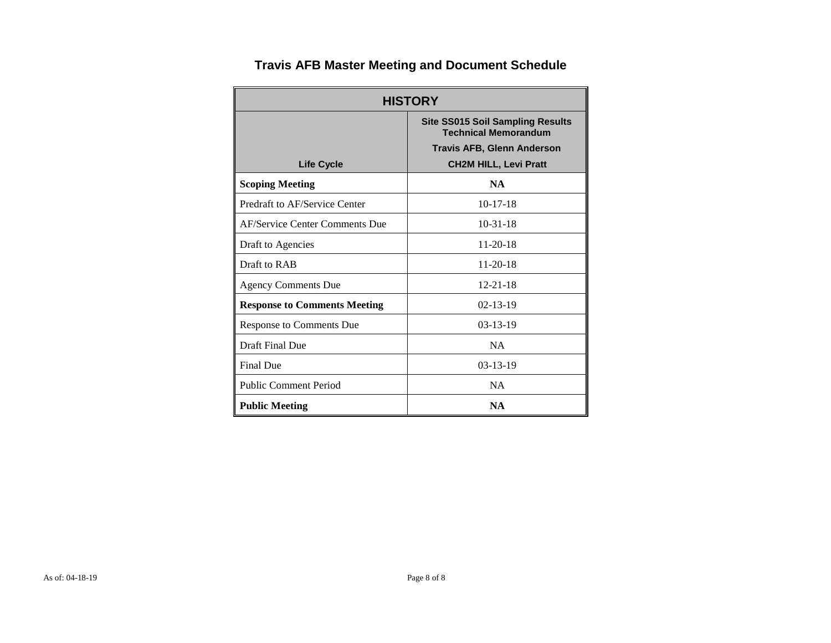| <b>HISTORY</b>                      |                                                                                                                                             |  |  |  |  |
|-------------------------------------|---------------------------------------------------------------------------------------------------------------------------------------------|--|--|--|--|
| <b>Life Cycle</b>                   | <b>Site SS015 Soil Sampling Results</b><br><b>Technical Memorandum</b><br><b>Travis AFB, Glenn Anderson</b><br><b>CH2M HILL, Levi Pratt</b> |  |  |  |  |
| <b>Scoping Meeting</b>              | <b>NA</b>                                                                                                                                   |  |  |  |  |
| Predraft to AF/Service Center       | $10-17-18$                                                                                                                                  |  |  |  |  |
| AF/Service Center Comments Due      | $10-31-18$                                                                                                                                  |  |  |  |  |
| Draft to Agencies                   | $11-20-18$                                                                                                                                  |  |  |  |  |
| Draft to RAB                        | $11 - 20 - 18$                                                                                                                              |  |  |  |  |
| <b>Agency Comments Due</b>          | $12 - 21 - 18$                                                                                                                              |  |  |  |  |
| <b>Response to Comments Meeting</b> | $02 - 13 - 19$                                                                                                                              |  |  |  |  |
| <b>Response to Comments Due</b>     | $03-13-19$                                                                                                                                  |  |  |  |  |
| Draft Final Due                     | <b>NA</b>                                                                                                                                   |  |  |  |  |
| <b>Final Due</b>                    | $03 - 13 - 19$                                                                                                                              |  |  |  |  |
| <b>Public Comment Period</b>        | <b>NA</b>                                                                                                                                   |  |  |  |  |
| <b>Public Meeting</b>               | <b>NA</b>                                                                                                                                   |  |  |  |  |

#### **Travis AFB Master Meeting and Document Schedule**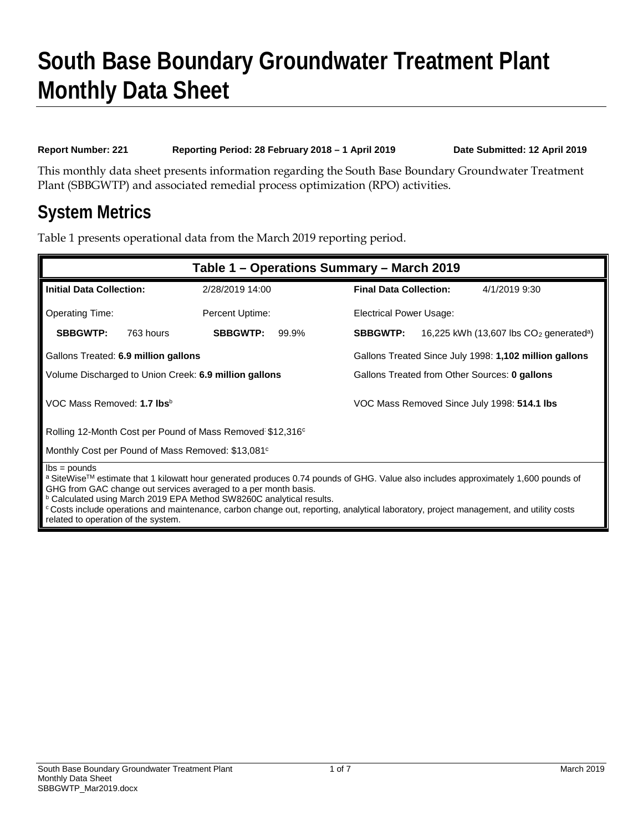## **South Base Boundary Groundwater Treatment Plant Monthly Data Sheet**

#### **Report Number: 221 Reporting Period: 28 February 2018 – 1 April 2019 Date Submitted: 12 April 2019**

This monthly data sheet presents information regarding the South Base Boundary Groundwater Treatment Plant (SBBGWTP) and associated remedial process optimization (RPO) activities.

### **System Metrics**

Table 1 presents operational data from the March 2019 reporting period.

| Table 1 – Operations Summary – March 2019                                                                                                                                                                                                                                                                                                                                                                                                                                     |                                                               |                                                                          |  |  |  |
|-------------------------------------------------------------------------------------------------------------------------------------------------------------------------------------------------------------------------------------------------------------------------------------------------------------------------------------------------------------------------------------------------------------------------------------------------------------------------------|---------------------------------------------------------------|--------------------------------------------------------------------------|--|--|--|
| <b>Initial Data Collection:</b>                                                                                                                                                                                                                                                                                                                                                                                                                                               | 2/28/2019 14:00                                               | <b>Final Data Collection:</b><br>4/1/2019 9:30                           |  |  |  |
| <b>Operating Time:</b>                                                                                                                                                                                                                                                                                                                                                                                                                                                        | Percent Uptime:                                               | Electrical Power Usage:                                                  |  |  |  |
| <b>SBBGWTP:</b><br>763 hours                                                                                                                                                                                                                                                                                                                                                                                                                                                  | <b>SBBGWTP:</b><br>99.9%                                      | <b>SBBGWTP:</b><br>16,225 kWh (13,607 lbs $CO2$ generated <sup>a</sup> ) |  |  |  |
| Gallons Treated: 6.9 million gallons                                                                                                                                                                                                                                                                                                                                                                                                                                          |                                                               | Gallons Treated Since July 1998: 1,102 million gallons                   |  |  |  |
|                                                                                                                                                                                                                                                                                                                                                                                                                                                                               | Volume Discharged to Union Creek: 6.9 million gallons         | Gallons Treated from Other Sources: 0 gallons                            |  |  |  |
| VOC Mass Removed: 1.7 lbs <sup>b</sup>                                                                                                                                                                                                                                                                                                                                                                                                                                        |                                                               | VOC Mass Removed Since July 1998: 514.1 lbs                              |  |  |  |
|                                                                                                                                                                                                                                                                                                                                                                                                                                                                               | Rolling 12-Month Cost per Pound of Mass Removed \$12,316°     |                                                                          |  |  |  |
|                                                                                                                                                                                                                                                                                                                                                                                                                                                                               | Monthly Cost per Pound of Mass Removed: \$13,081 <sup>c</sup> |                                                                          |  |  |  |
| $\mathsf{lbs} = \mathsf{pounds}$<br>a SiteWise™ estimate that 1 kilowatt hour generated produces 0.74 pounds of GHG. Value also includes approximately 1,600 pounds of<br>GHG from GAC change out services averaged to a per month basis.<br><b>b</b> Calculated using March 2019 EPA Method SW8260C analytical results.<br><sup>c</sup> Costs include operations and maintenance, carbon change out, reporting, analytical laboratory, project management, and utility costs |                                                               |                                                                          |  |  |  |

related to operation of the system.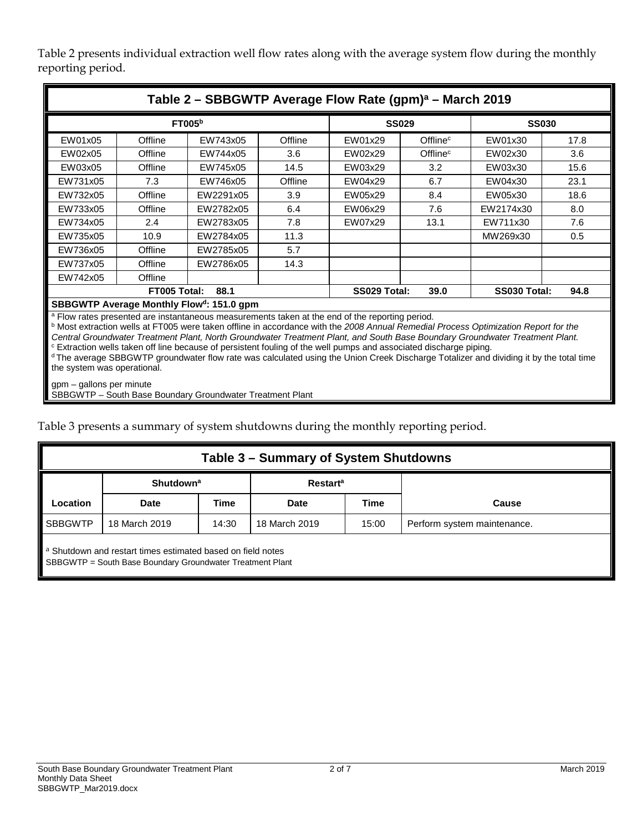Table 2 presents individual extraction well flow rates along with the average system flow during the monthly reporting period.

|                                                                                                           | Table 2 - SBBGWTP Average Flow Rate (gpm) <sup>a</sup> - March 2019 |                                          |         |              |                      |           |      |
|-----------------------------------------------------------------------------------------------------------|---------------------------------------------------------------------|------------------------------------------|---------|--------------|----------------------|-----------|------|
| FTOO5 <sup>b</sup>                                                                                        |                                                                     | <b>SS029</b>                             |         | <b>SS030</b> |                      |           |      |
| EW01x05                                                                                                   | Offline                                                             | EW743x05                                 | Offline | EW01x29      | Offline <sup>c</sup> | EW01x30   | 17.8 |
| EW02x05                                                                                                   | Offline                                                             | EW744x05                                 | 3.6     | EW02x29      | Offline <sup>c</sup> | EW02x30   | 3.6  |
| EW03x05                                                                                                   | Offline                                                             | EW745x05                                 | 14.5    | EW03x29      | 3.2                  | EW03x30   | 15.6 |
| EW731x05                                                                                                  | 7.3                                                                 | EW746x05                                 | Offline | EW04x29      | 6.7                  | EW04x30   | 23.1 |
| EW732x05                                                                                                  | Offline                                                             | EW2291x05                                | 3.9     | EW05x29      | 8.4                  | EW05x30   | 18.6 |
| EW733x05                                                                                                  | Offline                                                             | EW2782x05                                | 6.4     | EW06x29      | 7.6                  | EW2174x30 | 8.0  |
| EW734x05                                                                                                  | 2.4                                                                 | EW2783x05                                | 7.8     | EW07x29      | 13.1                 | EW711x30  | 7.6  |
| EW735x05                                                                                                  | 10.9                                                                | EW2784x05                                | 11.3    |              |                      | MW269x30  | 0.5  |
| EW736x05                                                                                                  | Offline                                                             | EW2785x05                                | 5.7     |              |                      |           |      |
| EW737x05                                                                                                  | Offline                                                             | EW2786x05                                | 14.3    |              |                      |           |      |
| EW742x05                                                                                                  | Offline                                                             |                                          |         |              |                      |           |      |
| FT005 Total:<br>SS029 Total:<br>88.1<br>SS030 Total:<br>94.8<br>39.0                                      |                                                                     |                                          |         |              |                      |           |      |
|                                                                                                           |                                                                     | SBBGWTP Average Monthly Flowd: 151.0 gpm |         |              |                      |           |      |
| <sup>a</sup> Flow rates presented are instantaneous measurements taken at the end of the reporting period |                                                                     |                                          |         |              |                      |           |      |

<sup>a</sup> Flow rates presented are instantaneous measurements taken at the end of the reporting period.

<sup>b</sup> Most extraction wells at FT005 were taken offline in accordance with the *2008 Annual Remedial Process Optimization Report for the Central Groundwater Treatment Plant, North Groundwater Treatment Plant, and South Base Boundary Groundwater Treatment Plant.*

<sup>c</sup> Extraction wells taken off line because of persistent fouling of the well pumps and associated discharge piping.

d The average SBBGWTP groundwater flow rate was calculated using the Union Creek Discharge Totalizer and dividing it by the total time

the system was operational.

gpm – gallons per minute

SBBGWTP – South Base Boundary Groundwater Treatment Plant

Table 3 presents a summary of system shutdowns during the monthly reporting period.

| Table 3 – Summary of System Shutdowns                                                                                    |                                                            |       |               |       |                             |  |
|--------------------------------------------------------------------------------------------------------------------------|------------------------------------------------------------|-------|---------------|-------|-----------------------------|--|
|                                                                                                                          | <b>Shutdown</b> <sup>a</sup><br><b>Restart<sup>a</sup></b> |       |               |       |                             |  |
| Location                                                                                                                 | <b>Date</b>                                                | Time  | <b>Date</b>   | Time  | Cause                       |  |
| <b>SBBGWTP</b>                                                                                                           | 18 March 2019                                              | 14:30 | 18 March 2019 | 15:00 | Perform system maintenance. |  |
| a Shutdown and restart times estimated based on field notes<br>SBBGWTP = South Base Boundary Groundwater Treatment Plant |                                                            |       |               |       |                             |  |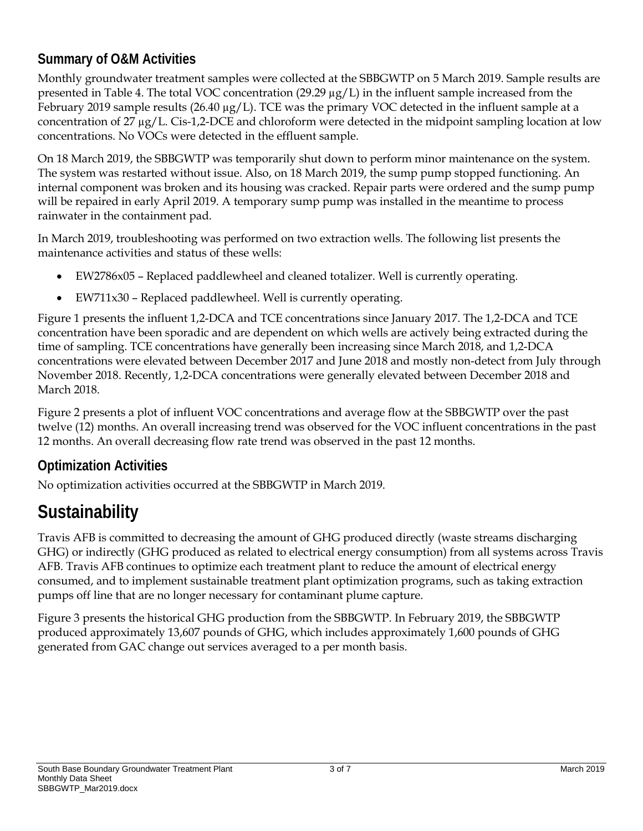#### **Summary of O&M Activities**

Monthly groundwater treatment samples were collected at the SBBGWTP on 5 March 2019. Sample results are presented in Table 4. The total VOC concentration (29.29 µg/L) in the influent sample increased from the February 2019 sample results (26.40  $\mu$ g/L). TCE was the primary VOC detected in the influent sample at a concentration of 27 µg/L. Cis-1,2-DCE and chloroform were detected in the midpoint sampling location at low concentrations. No VOCs were detected in the effluent sample.

On 18 March 2019, the SBBGWTP was temporarily shut down to perform minor maintenance on the system. The system was restarted without issue. Also, on 18 March 2019, the sump pump stopped functioning. An internal component was broken and its housing was cracked. Repair parts were ordered and the sump pump will be repaired in early April 2019. A temporary sump pump was installed in the meantime to process rainwater in the containment pad.

In March 2019, troubleshooting was performed on two extraction wells. The following list presents the maintenance activities and status of these wells:

- EW2786x05 Replaced paddlewheel and cleaned totalizer. Well is currently operating.
- EW711x30 Replaced paddlewheel. Well is currently operating.

Figure 1 presents the influent 1,2-DCA and TCE concentrations since January 2017. The 1,2-DCA and TCE concentration have been sporadic and are dependent on which wells are actively being extracted during the time of sampling. TCE concentrations have generally been increasing since March 2018, and 1,2-DCA concentrations were elevated between December 2017 and June 2018 and mostly non-detect from July through November 2018. Recently, 1,2-DCA concentrations were generally elevated between December 2018 and March 2018.

Figure 2 presents a plot of influent VOC concentrations and average flow at the SBBGWTP over the past twelve (12) months. An overall increasing trend was observed for the VOC influent concentrations in the past 12 months. An overall decreasing flow rate trend was observed in the past 12 months.

#### **Optimization Activities**

No optimization activities occurred at the SBBGWTP in March 2019.

### **Sustainability**

Travis AFB is committed to decreasing the amount of GHG produced directly (waste streams discharging GHG) or indirectly (GHG produced as related to electrical energy consumption) from all systems across Travis AFB. Travis AFB continues to optimize each treatment plant to reduce the amount of electrical energy consumed, and to implement sustainable treatment plant optimization programs, such as taking extraction pumps off line that are no longer necessary for contaminant plume capture.

Figure 3 presents the historical GHG production from the SBBGWTP. In February 2019, the SBBGWTP produced approximately 13,607 pounds of GHG, which includes approximately 1,600 pounds of GHG generated from GAC change out services averaged to a per month basis.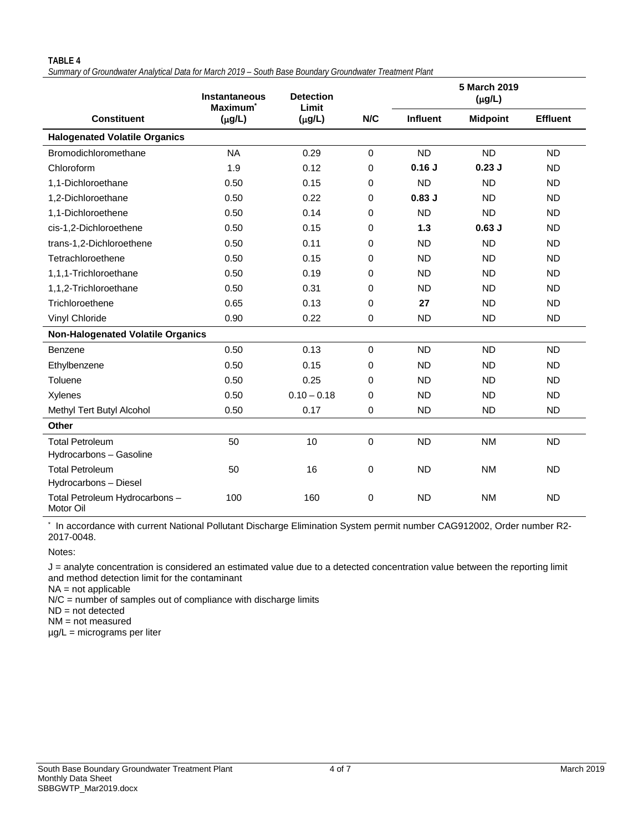#### **TABLE 4**

*Summary of Groundwater Analytical Data for March 2019 – South Base Boundary Groundwater Treatment Plant*

|                                             | <b>Instantaneous</b><br>Maximum <sup>*</sup> | <b>Detection</b><br>Limit |             |                 | 5 March 2019<br>$(\mu g/L)$ |                 |
|---------------------------------------------|----------------------------------------------|---------------------------|-------------|-----------------|-----------------------------|-----------------|
| <b>Constituent</b>                          | $(\mu g/L)$                                  | $(\mu g/L)$               | N/C         | <b>Influent</b> | <b>Midpoint</b>             | <b>Effluent</b> |
| <b>Halogenated Volatile Organics</b>        |                                              |                           |             |                 |                             |                 |
| Bromodichloromethane                        | <b>NA</b>                                    | 0.29                      | $\Omega$    | <b>ND</b>       | <b>ND</b>                   | <b>ND</b>       |
| Chloroform                                  | 1.9                                          | 0.12                      | $\Omega$    | 0.16J           | $0.23$ J                    | <b>ND</b>       |
| 1,1-Dichloroethane                          | 0.50                                         | 0.15                      | 0           | <b>ND</b>       | <b>ND</b>                   | <b>ND</b>       |
| 1,2-Dichloroethane                          | 0.50                                         | 0.22                      | 0           | $0.83$ J        | <b>ND</b>                   | <b>ND</b>       |
| 1.1-Dichloroethene                          | 0.50                                         | 0.14                      | 0           | <b>ND</b>       | <b>ND</b>                   | <b>ND</b>       |
| cis-1,2-Dichloroethene                      | 0.50                                         | 0.15                      | 0           | 1.3             | $0.63$ J                    | <b>ND</b>       |
| trans-1,2-Dichloroethene                    | 0.50                                         | 0.11                      | 0           | <b>ND</b>       | <b>ND</b>                   | <b>ND</b>       |
| Tetrachloroethene                           | 0.50                                         | 0.15                      | 0           | <b>ND</b>       | <b>ND</b>                   | <b>ND</b>       |
| 1,1,1-Trichloroethane                       | 0.50                                         | 0.19                      | $\Omega$    | <b>ND</b>       | <b>ND</b>                   | <b>ND</b>       |
| 1,1,2-Trichloroethane                       | 0.50                                         | 0.31                      | 0           | <b>ND</b>       | <b>ND</b>                   | <b>ND</b>       |
| Trichloroethene                             | 0.65                                         | 0.13                      | 0           | 27              | <b>ND</b>                   | <b>ND</b>       |
| Vinyl Chloride                              | 0.90                                         | 0.22                      | 0           | <b>ND</b>       | <b>ND</b>                   | <b>ND</b>       |
| <b>Non-Halogenated Volatile Organics</b>    |                                              |                           |             |                 |                             |                 |
| Benzene                                     | 0.50                                         | 0.13                      | $\Omega$    | <b>ND</b>       | <b>ND</b>                   | <b>ND</b>       |
| Ethylbenzene                                | 0.50                                         | 0.15                      | 0           | <b>ND</b>       | <b>ND</b>                   | <b>ND</b>       |
| Toluene                                     | 0.50                                         | 0.25                      | 0           | <b>ND</b>       | <b>ND</b>                   | <b>ND</b>       |
| Xylenes                                     | 0.50                                         | $0.10 - 0.18$             | 0           | <b>ND</b>       | <b>ND</b>                   | <b>ND</b>       |
| Methyl Tert Butyl Alcohol                   | 0.50                                         | 0.17                      | 0           | <b>ND</b>       | <b>ND</b>                   | <b>ND</b>       |
| Other                                       |                                              |                           |             |                 |                             |                 |
| <b>Total Petroleum</b>                      | 50                                           | 10                        | $\mathbf 0$ | <b>ND</b>       | <b>NM</b>                   | <b>ND</b>       |
| Hydrocarbons - Gasoline                     |                                              |                           |             |                 |                             |                 |
| <b>Total Petroleum</b>                      | 50                                           | 16                        | 0           | <b>ND</b>       | <b>NM</b>                   | <b>ND</b>       |
| Hydrocarbons - Diesel                       |                                              |                           |             |                 |                             |                 |
| Total Petroleum Hydrocarbons -<br>Motor Oil | 100                                          | 160                       | 0           | <b>ND</b>       | <b>NM</b>                   | <b>ND</b>       |

In accordance with current National Pollutant Discharge Elimination System permit number CAG912002, Order number R2-2017-0048.

Notes:

J = analyte concentration is considered an estimated value due to a detected concentration value between the reporting limit and method detection limit for the contaminant

NA = not applicable

N/C = number of samples out of compliance with discharge limits

ND = not detected

NM = not measured

µg/L = micrograms per liter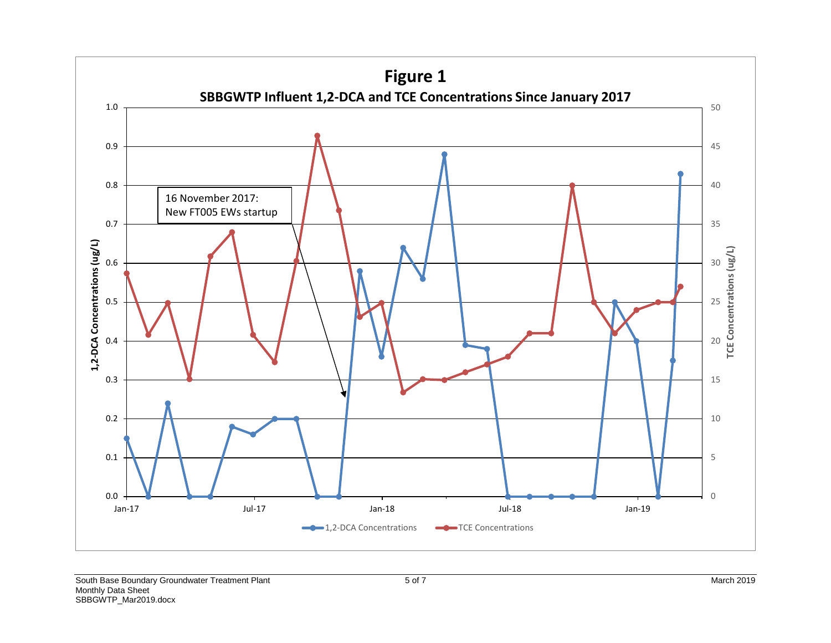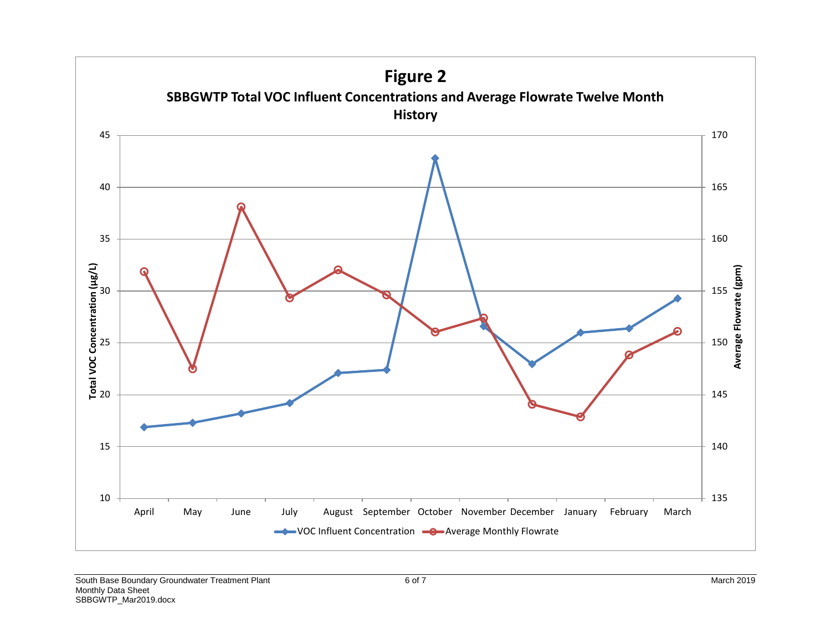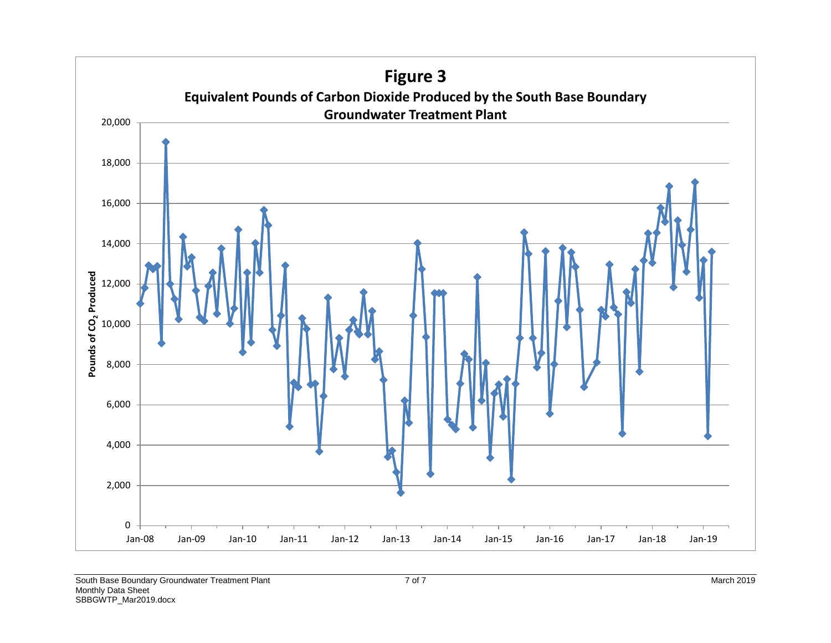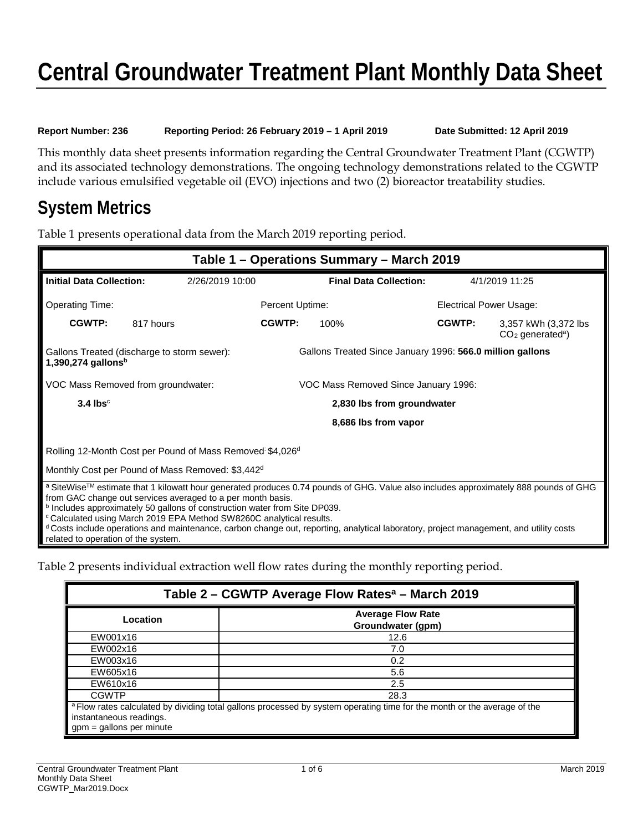## **Central Groundwater Treatment Plant Monthly Data Sheet**

**Report Number: 236 Reporting Period: 26 February 2019 – 1 April 2019 Date Submitted: 12 April 2019**

This monthly data sheet presents information regarding the Central Groundwater Treatment Plant (CGWTP) and its associated technology demonstrations. The ongoing technology demonstrations related to the CGWTP include various emulsified vegetable oil (EVO) injections and two (2) bioreactor treatability studies.

### **System Metrics**

Table 1 presents operational data from the March 2019 reporting period.

|                                                                                                                                                                                                                                                                                                                                                                                                                                                                                                                                                       | Table 1 – Operations Summary – March 2019                                  |                                                           |                               |                                |                                                         |
|-------------------------------------------------------------------------------------------------------------------------------------------------------------------------------------------------------------------------------------------------------------------------------------------------------------------------------------------------------------------------------------------------------------------------------------------------------------------------------------------------------------------------------------------------------|----------------------------------------------------------------------------|-----------------------------------------------------------|-------------------------------|--------------------------------|---------------------------------------------------------|
| <b>Initial Data Collection:</b>                                                                                                                                                                                                                                                                                                                                                                                                                                                                                                                       | 2/26/2019 10:00                                                            |                                                           | <b>Final Data Collection:</b> |                                | 4/1/2019 11:25                                          |
| <b>Operating Time:</b>                                                                                                                                                                                                                                                                                                                                                                                                                                                                                                                                |                                                                            | Percent Uptime:                                           |                               | <b>Electrical Power Usage:</b> |                                                         |
| CGWTP:                                                                                                                                                                                                                                                                                                                                                                                                                                                                                                                                                | 817 hours                                                                  | CGWTP:                                                    | 100%                          | CGWTP:                         | 3,357 kWh (3,372 lbs)<br>$CO2$ generated <sup>a</sup> ) |
| $1,390,274$ gallons <sup>b</sup>                                                                                                                                                                                                                                                                                                                                                                                                                                                                                                                      | Gallons Treated (discharge to storm sewer):                                | Gallons Treated Since January 1996: 566.0 million gallons |                               |                                |                                                         |
|                                                                                                                                                                                                                                                                                                                                                                                                                                                                                                                                                       | VOC Mass Removed from groundwater:<br>VOC Mass Removed Since January 1996: |                                                           |                               |                                |                                                         |
| $3.4$ lbs <sup>c</sup>                                                                                                                                                                                                                                                                                                                                                                                                                                                                                                                                |                                                                            | 2,830 lbs from groundwater                                |                               |                                |                                                         |
|                                                                                                                                                                                                                                                                                                                                                                                                                                                                                                                                                       |                                                                            |                                                           | 8,686 lbs from vapor          |                                |                                                         |
|                                                                                                                                                                                                                                                                                                                                                                                                                                                                                                                                                       | Rolling 12-Month Cost per Pound of Mass Removed \$4,026d                   |                                                           |                               |                                |                                                         |
| Monthly Cost per Pound of Mass Removed: \$3,442 <sup>d</sup>                                                                                                                                                                                                                                                                                                                                                                                                                                                                                          |                                                                            |                                                           |                               |                                |                                                         |
| a SiteWise™ estimate that 1 kilowatt hour generated produces 0.74 pounds of GHG. Value also includes approximately 888 pounds of GHG<br>from GAC change out services averaged to a per month basis.<br>b Includes approximately 50 gallons of construction water from Site DP039.<br><sup>c</sup> Calculated using March 2019 EPA Method SW8260C analytical results.<br>d Costs include operations and maintenance, carbon change out, reporting, analytical laboratory, project management, and utility costs<br>related to operation of the system. |                                                                            |                                                           |                               |                                |                                                         |

Table 2 presents individual extraction well flow rates during the monthly reporting period.

| Table 2 – CGWTP Average Flow Rates <sup>a</sup> – March 2019 |                                                                                                                          |  |  |  |  |
|--------------------------------------------------------------|--------------------------------------------------------------------------------------------------------------------------|--|--|--|--|
| Location                                                     | <b>Average Flow Rate</b><br>Groundwater (gpm)                                                                            |  |  |  |  |
| EW001x16                                                     | 12.6                                                                                                                     |  |  |  |  |
| EW002x16                                                     | 7.0                                                                                                                      |  |  |  |  |
| EW003x16                                                     | 0.2                                                                                                                      |  |  |  |  |
| EW605x16                                                     | 5.6                                                                                                                      |  |  |  |  |
| EW610x16                                                     | 2.5                                                                                                                      |  |  |  |  |
| <b>CGWTP</b>                                                 | 28.3                                                                                                                     |  |  |  |  |
| instantaneous readings.<br>$gpm = gallons per minute$        | a Flow rates calculated by dividing total gallons processed by system operating time for the month or the average of the |  |  |  |  |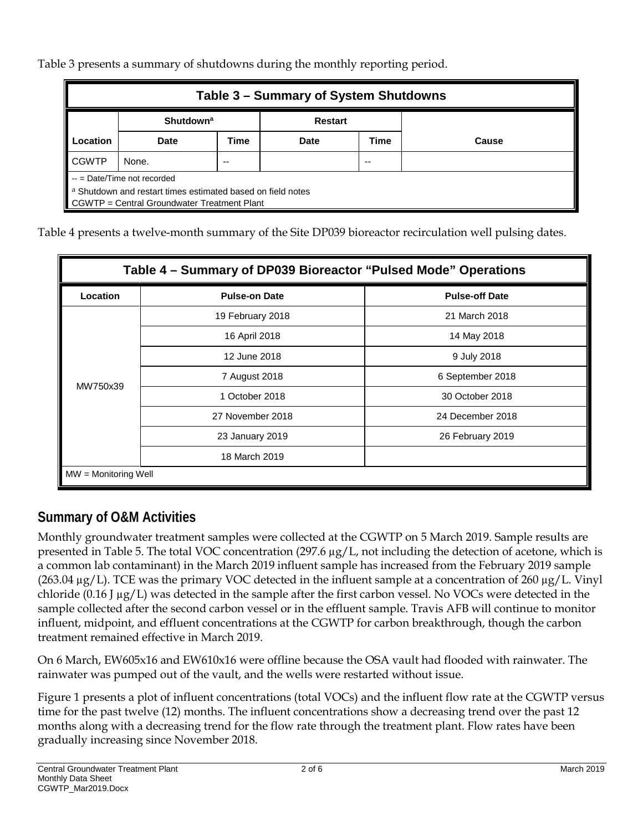Table 3 presents a summary of shutdowns during the monthly reporting period.

| Table 3 – Summary of System Shutdowns                       |                                               |      |             |      |       |  |
|-------------------------------------------------------------|-----------------------------------------------|------|-------------|------|-------|--|
|                                                             | <b>Shutdown<sup>a</sup></b><br><b>Restart</b> |      |             |      |       |  |
| Location                                                    | <b>Date</b>                                   | Time | <b>Date</b> | Time | Cause |  |
| <b>CGWTP</b>                                                | None.                                         | --   |             | --   |       |  |
| $-$ = Date/Time not recorded                                |                                               |      |             |      |       |  |
| a Shutdown and restart times estimated based on field notes |                                               |      |             |      |       |  |
|                                                             | CGWTP = Central Groundwater Treatment Plant   |      |             |      |       |  |

Table 4 presents a twelve-month summary of the Site DP039 bioreactor recirculation well pulsing dates.

| Table 4 – Summary of DP039 Bioreactor "Pulsed Mode" Operations |                      |                       |  |  |  |
|----------------------------------------------------------------|----------------------|-----------------------|--|--|--|
| Location                                                       | <b>Pulse-on Date</b> | <b>Pulse-off Date</b> |  |  |  |
|                                                                | 19 February 2018     | 21 March 2018         |  |  |  |
|                                                                | 16 April 2018        | 14 May 2018           |  |  |  |
|                                                                | 12 June 2018         | 9 July 2018           |  |  |  |
| MW750x39                                                       | 7 August 2018        | 6 September 2018      |  |  |  |
|                                                                | 1 October 2018       | 30 October 2018       |  |  |  |
|                                                                | 27 November 2018     | 24 December 2018      |  |  |  |
|                                                                | 23 January 2019      | 26 February 2019      |  |  |  |
|                                                                | 18 March 2019        |                       |  |  |  |
| $MW =$ Monitoring Well                                         |                      |                       |  |  |  |

#### **Summary of O&M Activities**

Monthly groundwater treatment samples were collected at the CGWTP on 5 March 2019. Sample results are presented in Table 5. The total VOC concentration (297.6 µg/L, not including the detection of acetone, which is a common lab contaminant) in the March 2019 influent sample has increased from the February 2019 sample  $(263.04 \,\mu g/L)$ . TCE was the primary VOC detected in the influent sample at a concentration of 260  $\mu g/L$ . Vinyl chloride (0.16 J µg/L) was detected in the sample after the first carbon vessel. No VOCs were detected in the sample collected after the second carbon vessel or in the effluent sample. Travis AFB will continue to monitor influent, midpoint, and effluent concentrations at the CGWTP for carbon breakthrough, though the carbon treatment remained effective in March 2019.

On 6 March, EW605x16 and EW610x16 were offline because the OSA vault had flooded with rainwater. The rainwater was pumped out of the vault, and the wells were restarted without issue.

Figure 1 presents a plot of influent concentrations (total VOCs) and the influent flow rate at the CGWTP versus time for the past twelve (12) months. The influent concentrations show a decreasing trend over the past 12 months along with a decreasing trend for the flow rate through the treatment plant. Flow rates have been gradually increasing since November 2018.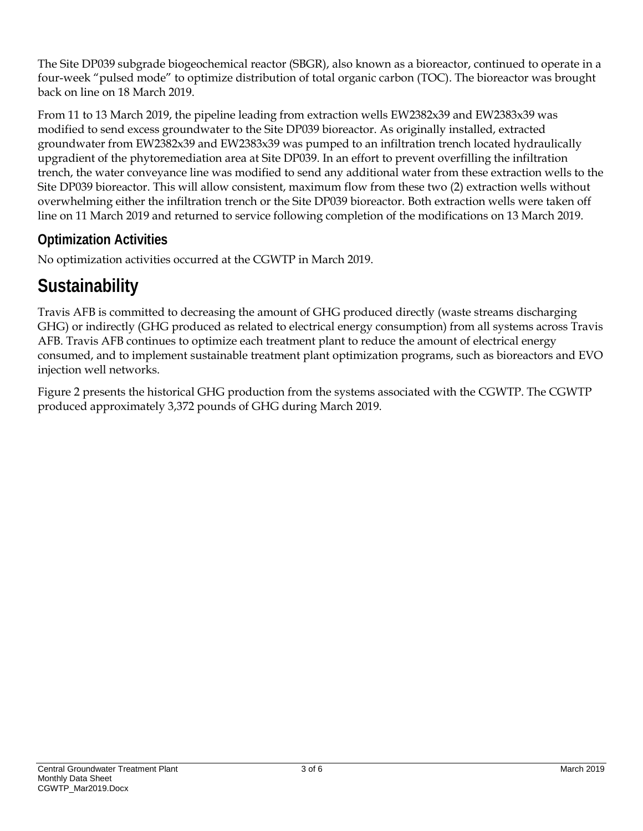The Site DP039 subgrade biogeochemical reactor (SBGR), also known as a bioreactor, continued to operate in a four-week "pulsed mode" to optimize distribution of total organic carbon (TOC). The bioreactor was brought back on line on 18 March 2019.

From 11 to 13 March 2019, the pipeline leading from extraction wells EW2382x39 and EW2383x39 was modified to send excess groundwater to the Site DP039 bioreactor. As originally installed, extracted groundwater from EW2382x39 and EW2383x39 was pumped to an infiltration trench located hydraulically upgradient of the phytoremediation area at Site DP039. In an effort to prevent overfilling the infiltration trench, the water conveyance line was modified to send any additional water from these extraction wells to the Site DP039 bioreactor. This will allow consistent, maximum flow from these two (2) extraction wells without overwhelming either the infiltration trench or the Site DP039 bioreactor. Both extraction wells were taken off line on 11 March 2019 and returned to service following completion of the modifications on 13 March 2019.

#### **Optimization Activities**

No optimization activities occurred at the CGWTP in March 2019.

## **Sustainability**

Travis AFB is committed to decreasing the amount of GHG produced directly (waste streams discharging GHG) or indirectly (GHG produced as related to electrical energy consumption) from all systems across Travis AFB. Travis AFB continues to optimize each treatment plant to reduce the amount of electrical energy consumed, and to implement sustainable treatment plant optimization programs, such as bioreactors and EVO injection well networks.

Figure 2 presents the historical GHG production from the systems associated with the CGWTP. The CGWTP produced approximately 3,372 pounds of GHG during March 2019.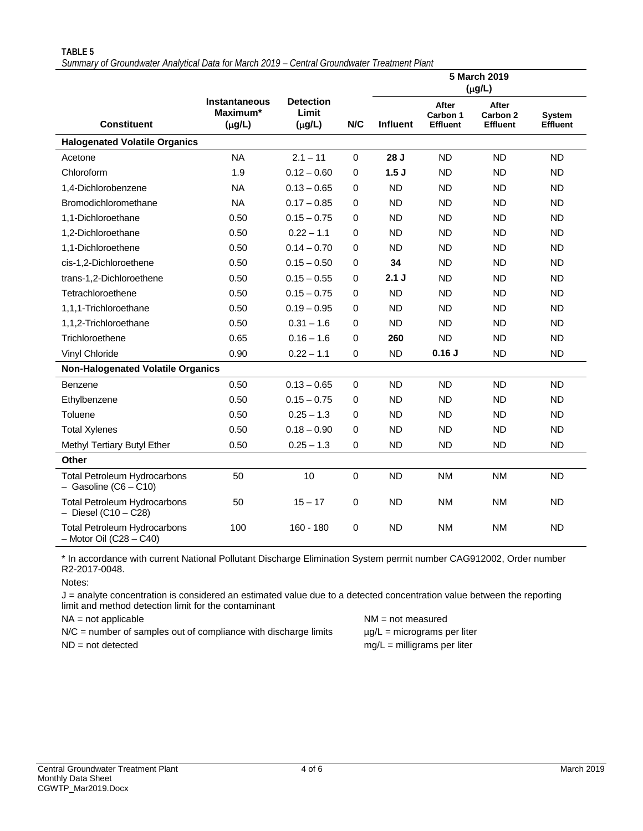|                                                                    |                                                 |                                          |                  |                 |                                      | 5 March 2019<br>$(\mu g/L)$          |                                  |
|--------------------------------------------------------------------|-------------------------------------------------|------------------------------------------|------------------|-----------------|--------------------------------------|--------------------------------------|----------------------------------|
| <b>Constituent</b>                                                 | <b>Instantaneous</b><br>Maximum*<br>$(\mu g/L)$ | <b>Detection</b><br>Limit<br>$(\mu g/L)$ | N/C              | <b>Influent</b> | After<br>Carbon 1<br><b>Effluent</b> | After<br>Carbon 2<br><b>Effluent</b> | <b>System</b><br><b>Effluent</b> |
| <b>Halogenated Volatile Organics</b>                               |                                                 |                                          |                  |                 |                                      |                                      |                                  |
| Acetone                                                            | <b>NA</b>                                       | $2.1 - 11$                               | 0                | 28 J            | <b>ND</b>                            | <b>ND</b>                            | <b>ND</b>                        |
| Chloroform                                                         | 1.9                                             | $0.12 - 0.60$                            | 0                | 1.5J            | <b>ND</b>                            | <b>ND</b>                            | <b>ND</b>                        |
| 1,4-Dichlorobenzene                                                | <b>NA</b>                                       | $0.13 - 0.65$                            | $\mathbf 0$      | <b>ND</b>       | <b>ND</b>                            | <b>ND</b>                            | <b>ND</b>                        |
| Bromodichloromethane                                               | <b>NA</b>                                       | $0.17 - 0.85$                            | 0                | <b>ND</b>       | <b>ND</b>                            | <b>ND</b>                            | <b>ND</b>                        |
| 1,1-Dichloroethane                                                 | 0.50                                            | $0.15 - 0.75$                            | 0                | <b>ND</b>       | <b>ND</b>                            | <b>ND</b>                            | <b>ND</b>                        |
| 1,2-Dichloroethane                                                 | 0.50                                            | $0.22 - 1.1$                             | 0                | <b>ND</b>       | <b>ND</b>                            | <b>ND</b>                            | <b>ND</b>                        |
| 1,1-Dichloroethene                                                 | 0.50                                            | $0.14 - 0.70$                            | 0                | <b>ND</b>       | <b>ND</b>                            | <b>ND</b>                            | <b>ND</b>                        |
| cis-1,2-Dichloroethene                                             | 0.50                                            | $0.15 - 0.50$                            | 0                | 34              | <b>ND</b>                            | <b>ND</b>                            | <b>ND</b>                        |
| trans-1,2-Dichloroethene                                           | 0.50                                            | $0.15 - 0.55$                            | $\mathbf 0$      | 2.1J            | <b>ND</b>                            | <b>ND</b>                            | <b>ND</b>                        |
| Tetrachloroethene                                                  | 0.50                                            | $0.15 - 0.75$                            | 0                | <b>ND</b>       | <b>ND</b>                            | <b>ND</b>                            | <b>ND</b>                        |
| 1,1,1-Trichloroethane                                              | 0.50                                            | $0.19 - 0.95$                            | $\mathbf 0$      | <b>ND</b>       | <b>ND</b>                            | <b>ND</b>                            | <b>ND</b>                        |
| 1,1,2-Trichloroethane                                              | 0.50                                            | $0.31 - 1.6$                             | 0                | <b>ND</b>       | <b>ND</b>                            | <b>ND</b>                            | <b>ND</b>                        |
| Trichloroethene                                                    | 0.65                                            | $0.16 - 1.6$                             | 0                | 260             | <b>ND</b>                            | <b>ND</b>                            | <b>ND</b>                        |
| Vinyl Chloride                                                     | 0.90                                            | $0.22 - 1.1$                             | 0                | <b>ND</b>       | 0.16J                                | <b>ND</b>                            | <b>ND</b>                        |
| <b>Non-Halogenated Volatile Organics</b>                           |                                                 |                                          |                  |                 |                                      |                                      |                                  |
| <b>Benzene</b>                                                     | 0.50                                            | $0.13 - 0.65$                            | $\mathbf 0$      | <b>ND</b>       | <b>ND</b>                            | <b>ND</b>                            | <b>ND</b>                        |
| Ethylbenzene                                                       | 0.50                                            | $0.15 - 0.75$                            | 0                | <b>ND</b>       | <b>ND</b>                            | <b>ND</b>                            | <b>ND</b>                        |
| Toluene                                                            | 0.50                                            | $0.25 - 1.3$                             | $\boldsymbol{0}$ | <b>ND</b>       | <b>ND</b>                            | <b>ND</b>                            | <b>ND</b>                        |
| <b>Total Xylenes</b>                                               | 0.50                                            | $0.18 - 0.90$                            | 0                | <b>ND</b>       | <b>ND</b>                            | <b>ND</b>                            | <b>ND</b>                        |
| Methyl Tertiary Butyl Ether                                        | 0.50                                            | $0.25 - 1.3$                             | 0                | <b>ND</b>       | <b>ND</b>                            | <b>ND</b>                            | <b>ND</b>                        |
| Other                                                              |                                                 |                                          |                  |                 |                                      |                                      |                                  |
| <b>Total Petroleum Hydrocarbons</b><br>$-$ Gasoline (C6 $-$ C10)   | 50                                              | 10                                       | 0                | <b>ND</b>       | <b>NM</b>                            | <b>NM</b>                            | <b>ND</b>                        |
| Total Petroleum Hydrocarbons<br>$-$ Diesel (C10 $-$ C28)           | 50                                              | $15 - 17$                                | 0                | <b>ND</b>       | <b>NM</b>                            | <b>NM</b>                            | <b>ND</b>                        |
| <b>Total Petroleum Hydrocarbons</b><br>$-$ Motor Oil (C28 $-$ C40) | 100                                             | $160 - 180$                              | $\mathbf 0$      | <b>ND</b>       | <b>NM</b>                            | <b>NM</b>                            | <b>ND</b>                        |

**TABLE 5** *Summary of Groundwater Analytical Data for March 2019 – Central Groundwater Treatment Plant*

\* In accordance with current National Pollutant Discharge Elimination System permit number CAG912002, Order number R2-2017-0048.

Notes:

J = analyte concentration is considered an estimated value due to a detected concentration value between the reporting limit and method detection limit for the contaminant

 $N/C$  = number of samples out of compliance with discharge limits  $\mu g/L$  = micrograms per liter ND = not detected mg/L = milligrams per liter

NA = not applicable NM = not measured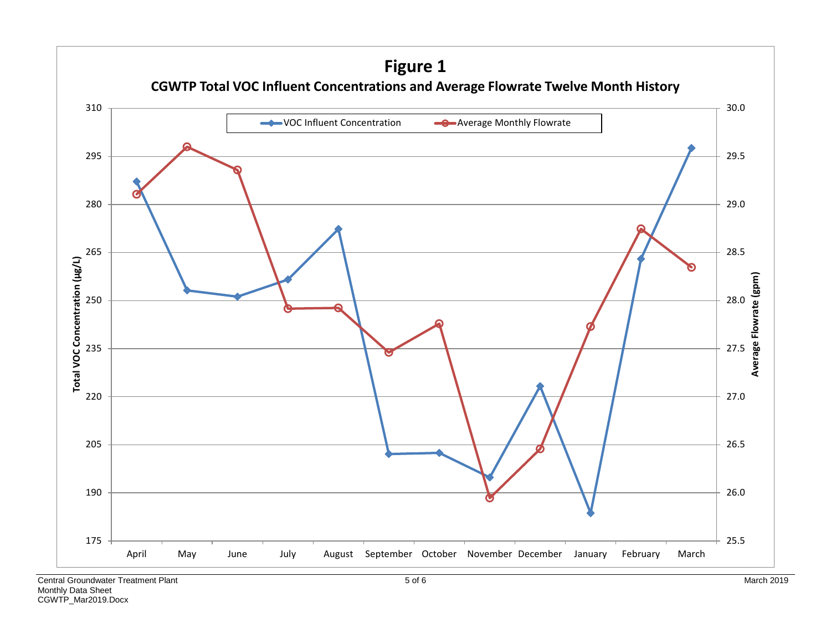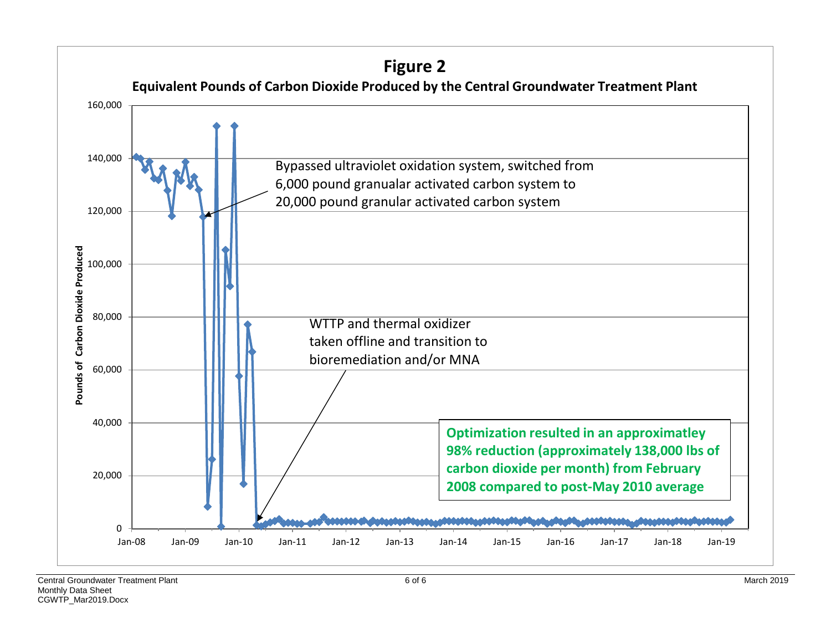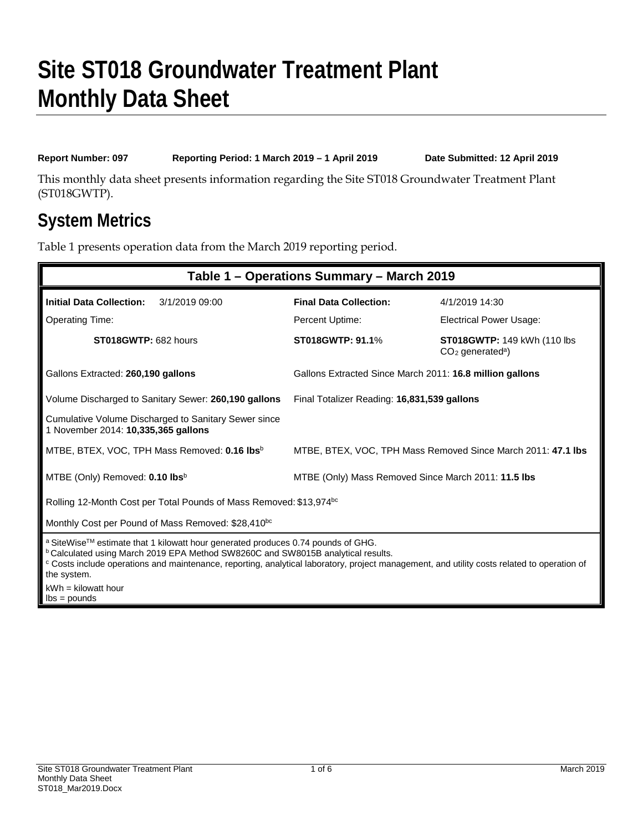**Report Number: 097 Reporting Period: 1 March 2019 – 1 April 2019 Date Submitted: 12 April 2019**

This monthly data sheet presents information regarding the Site ST018 Groundwater Treatment Plant (ST018GWTP).

### **System Metrics**

Table 1 presents operation data from the March 2019 reporting period.

| Table 1 - Operations Summary - March 2019                                                                                                                                                                                                                                                                                                                |                                                              |                                                                       |  |  |  |
|----------------------------------------------------------------------------------------------------------------------------------------------------------------------------------------------------------------------------------------------------------------------------------------------------------------------------------------------------------|--------------------------------------------------------------|-----------------------------------------------------------------------|--|--|--|
| <b>Initial Data Collection:</b><br>3/1/2019 09:00                                                                                                                                                                                                                                                                                                        | <b>Final Data Collection:</b>                                | 4/1/2019 14:30                                                        |  |  |  |
| <b>Operating Time:</b>                                                                                                                                                                                                                                                                                                                                   | Percent Uptime:                                              | <b>Electrical Power Usage:</b>                                        |  |  |  |
| ST018GWTP: 682 hours                                                                                                                                                                                                                                                                                                                                     | <b>ST018GWTP: 91.1%</b>                                      | <b>ST018GWTP: 149 kWh (110 lbs)</b><br>$CO2$ generated <sup>a</sup> ) |  |  |  |
| Gallons Extracted: 260,190 gallons                                                                                                                                                                                                                                                                                                                       | Gallons Extracted Since March 2011: 16.8 million gallons     |                                                                       |  |  |  |
| Volume Discharged to Sanitary Sewer: 260,190 gallons                                                                                                                                                                                                                                                                                                     | Final Totalizer Reading: 16,831,539 gallons                  |                                                                       |  |  |  |
| Cumulative Volume Discharged to Sanitary Sewer since<br>1 November 2014: 10,335,365 gallons                                                                                                                                                                                                                                                              |                                                              |                                                                       |  |  |  |
| MTBE, BTEX, VOC, TPH Mass Removed: <b>0.16 lbs</b> <sup>b</sup>                                                                                                                                                                                                                                                                                          | MTBE, BTEX, VOC, TPH Mass Removed Since March 2011: 47.1 lbs |                                                                       |  |  |  |
| MTBE (Only) Removed: 0.10 lbsb                                                                                                                                                                                                                                                                                                                           | MTBE (Only) Mass Removed Since March 2011: 11.5 lbs          |                                                                       |  |  |  |
| Rolling 12-Month Cost per Total Pounds of Mass Removed: \$13,974bc                                                                                                                                                                                                                                                                                       |                                                              |                                                                       |  |  |  |
| Monthly Cost per Pound of Mass Removed: \$28,410 <sup>bc</sup>                                                                                                                                                                                                                                                                                           |                                                              |                                                                       |  |  |  |
| a SiteWise™ estimate that 1 kilowatt hour generated produces 0.74 pounds of GHG.<br><sup>b</sup> Calculated using March 2019 EPA Method SW8260C and SW8015B analytical results.<br><sup>c</sup> Costs include operations and maintenance, reporting, analytical laboratory, project management, and utility costs related to operation of<br>the system. |                                                              |                                                                       |  |  |  |
| $kWh = kilowatt hour$<br>$\text{lbs} = \text{pounds}$                                                                                                                                                                                                                                                                                                    |                                                              |                                                                       |  |  |  |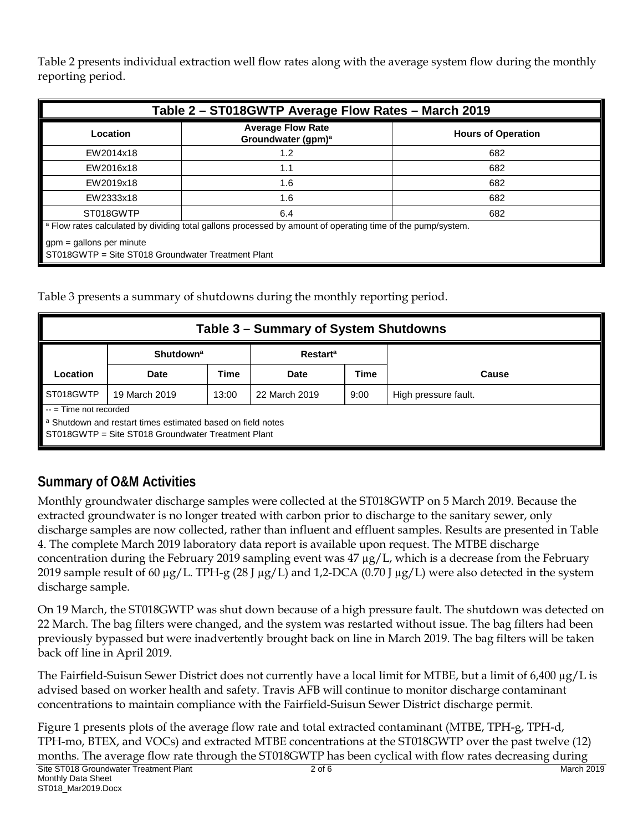Table 2 presents individual extraction well flow rates along with the average system flow during the monthly reporting period.

| Table 2 - ST018GWTP Average Flow Rates - March 2019                                                                    |                                                            |                           |  |  |  |  |
|------------------------------------------------------------------------------------------------------------------------|------------------------------------------------------------|---------------------------|--|--|--|--|
| Location                                                                                                               | <b>Average Flow Rate</b><br>Groundwater (gpm) <sup>a</sup> | <b>Hours of Operation</b> |  |  |  |  |
| EW2014x18                                                                                                              | 1.2                                                        | 682                       |  |  |  |  |
| EW2016x18                                                                                                              | 1.1                                                        | 682                       |  |  |  |  |
| EW2019x18                                                                                                              | 1.6                                                        | 682                       |  |  |  |  |
| EW2333x18                                                                                                              | 1.6                                                        | 682                       |  |  |  |  |
| ST018GWTP<br>6.4<br>682                                                                                                |                                                            |                           |  |  |  |  |
| <sup>a</sup> Flow rates calculated by dividing total gallons processed by amount of operating time of the pump/system. |                                                            |                           |  |  |  |  |
| $gpm =$ gallons per minute<br>ST018GWTP = Site ST018 Groundwater Treatment Plant                                       |                                                            |                           |  |  |  |  |

Table 3 presents a summary of shutdowns during the monthly reporting period.

| Table 3 – Summary of System Shutdowns                                                                             |                             |             |                            |             |                      |  |  |  |  |
|-------------------------------------------------------------------------------------------------------------------|-----------------------------|-------------|----------------------------|-------------|----------------------|--|--|--|--|
|                                                                                                                   | <b>Shutdown<sup>a</sup></b> |             | <b>Restart<sup>a</sup></b> |             |                      |  |  |  |  |
| .ocation                                                                                                          | Date                        | <b>Time</b> | Date                       | <b>Time</b> | Cause                |  |  |  |  |
| ST018GWTP                                                                                                         | 19 March 2019               | 13:00       | 22 March 2019              | 9:00        | High pressure fault. |  |  |  |  |
| $\blacksquare$ -- = Time not recorded                                                                             |                             |             |                            |             |                      |  |  |  |  |
| a Shutdown and restart times estimated based on field notes<br>ST018GWTP = Site ST018 Groundwater Treatment Plant |                             |             |                            |             |                      |  |  |  |  |

#### **Summary of O&M Activities**

Monthly groundwater discharge samples were collected at the ST018GWTP on 5 March 2019. Because the extracted groundwater is no longer treated with carbon prior to discharge to the sanitary sewer, only discharge samples are now collected, rather than influent and effluent samples. Results are presented in Table 4. The complete March 2019 laboratory data report is available upon request. The MTBE discharge concentration during the February 2019 sampling event was 47  $\mu$ g/L, which is a decrease from the February 2019 sample result of 60  $\mu$ g/L. TPH-g (28 J  $\mu$ g/L) and 1,2-DCA (0.70 J  $\mu$ g/L) were also detected in the system discharge sample.

On 19 March, the ST018GWTP was shut down because of a high pressure fault. The shutdown was detected on 22 March. The bag filters were changed, and the system was restarted without issue. The bag filters had been previously bypassed but were inadvertently brought back on line in March 2019. The bag filters will be taken back off line in April 2019.

The Fairfield-Suisun Sewer District does not currently have a local limit for MTBE, but a limit of 6,400  $\mu$ g/L is advised based on worker health and safety. Travis AFB will continue to monitor discharge contaminant concentrations to maintain compliance with the Fairfield-Suisun Sewer District discharge permit.

Figure 1 presents plots of the average flow rate and total extracted contaminant (MTBE, TPH-g, TPH-d, TPH-mo, BTEX, and VOCs) and extracted MTBE concentrations at the ST018GWTP over the past twelve (12) months. The average flow rate through the ST018GWTP has been cyclical with flow rates decreasing during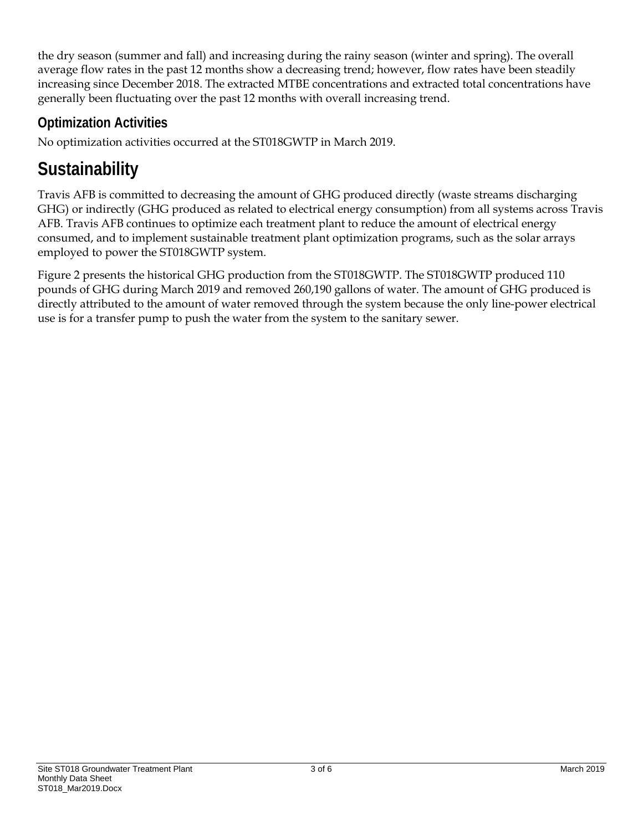the dry season (summer and fall) and increasing during the rainy season (winter and spring). The overall average flow rates in the past 12 months show a decreasing trend; however, flow rates have been steadily increasing since December 2018. The extracted MTBE concentrations and extracted total concentrations have generally been fluctuating over the past 12 months with overall increasing trend.

#### **Optimization Activities**

No optimization activities occurred at the ST018GWTP in March 2019.

## **Sustainability**

Travis AFB is committed to decreasing the amount of GHG produced directly (waste streams discharging GHG) or indirectly (GHG produced as related to electrical energy consumption) from all systems across Travis AFB. Travis AFB continues to optimize each treatment plant to reduce the amount of electrical energy consumed, and to implement sustainable treatment plant optimization programs, such as the solar arrays employed to power the ST018GWTP system.

Figure 2 presents the historical GHG production from the ST018GWTP. The ST018GWTP produced 110 pounds of GHG during March 2019 and removed 260,190 gallons of water. The amount of GHG produced is directly attributed to the amount of water removed through the system because the only line-power electrical use is for a transfer pump to push the water from the system to the sanitary sewer.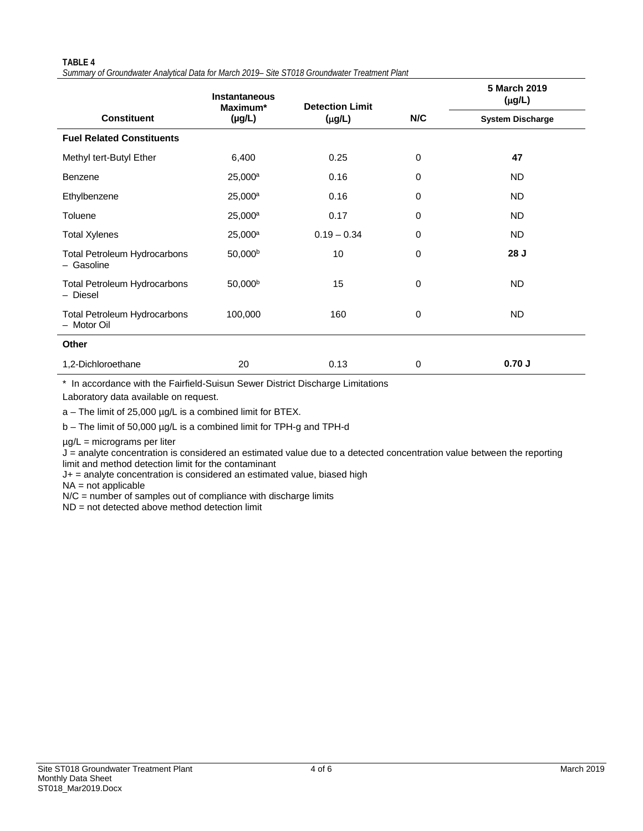#### **TABLE 4** *Summary of Groundwater Analytical Data for March 2019– Site ST018 Groundwater Treatment Plant*

|                                                    | <b>Instantaneous</b><br>Maximum* | <b>Detection Limit</b> |     | 5 March 2019<br>$(\mu g/L)$ |  |
|----------------------------------------------------|----------------------------------|------------------------|-----|-----------------------------|--|
| <b>Constituent</b>                                 | $(\mu g/L)$                      | $(\mu g/L)$            | N/C | <b>System Discharge</b>     |  |
| <b>Fuel Related Constituents</b>                   |                                  |                        |     |                             |  |
| Methyl tert-Butyl Ether                            | 6,400                            | 0.25                   | 0   | 47                          |  |
| Benzene                                            | 25,000 <sup>a</sup>              | 0.16                   | 0   | <b>ND</b>                   |  |
| Ethylbenzene                                       | $25,000^a$                       | 0.16                   | 0   | ND.                         |  |
| Toluene                                            | 25,000 <sup>a</sup>              | 0.17                   | 0   | <b>ND</b>                   |  |
| <b>Total Xylenes</b>                               | 25,000 <sup>a</sup>              | $0.19 - 0.34$          | 0   | ND.                         |  |
| <b>Total Petroleum Hydrocarbons</b><br>- Gasoline  | 50,000 <sup>b</sup>              | 10                     | 0   | 28 J                        |  |
| <b>Total Petroleum Hydrocarbons</b><br>- Diesel    | 50,000 <sup>b</sup>              | 15                     | 0   | <b>ND</b>                   |  |
| <b>Total Petroleum Hydrocarbons</b><br>- Motor Oil | 100,000                          | 160                    | 0   | <b>ND</b>                   |  |
| Other                                              |                                  |                        |     |                             |  |
| 1,2-Dichloroethane                                 | 20                               | 0.13                   | 0   | 0.70J                       |  |

\* In accordance with the Fairfield-Suisun Sewer District Discharge Limitations

Laboratory data available on request.

a – The limit of 25,000 µg/L is a combined limit for BTEX.

b – The limit of 50,000 µg/L is a combined limit for TPH-g and TPH-d

µg/L = micrograms per liter

J = analyte concentration is considered an estimated value due to a detected concentration value between the reporting limit and method detection limit for the contaminant

J+ = analyte concentration is considered an estimated value, biased high

 $NA = not$  applicable

N/C = number of samples out of compliance with discharge limits

ND = not detected above method detection limit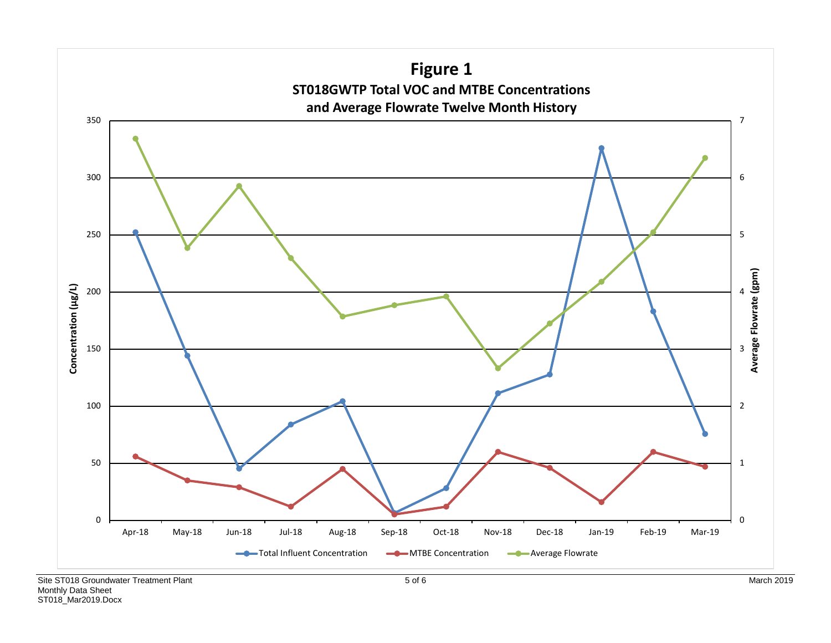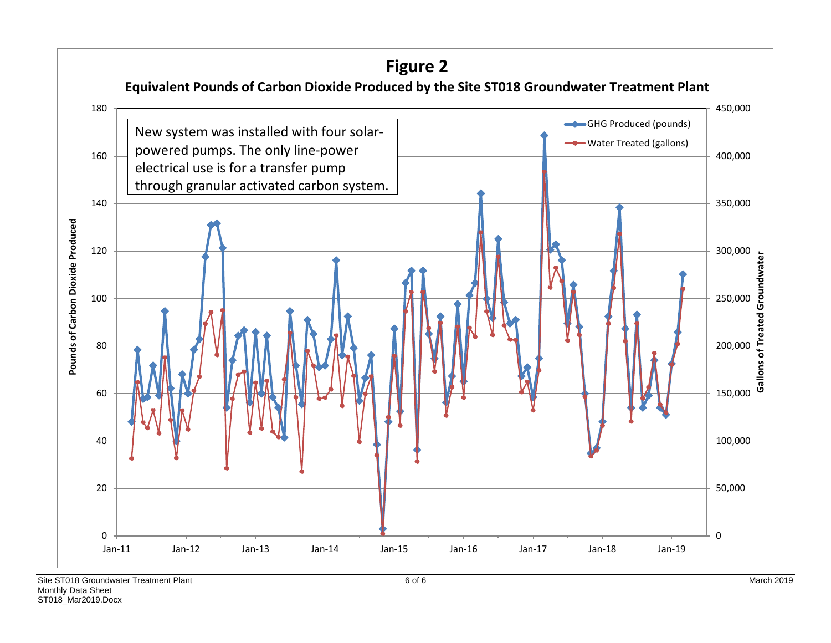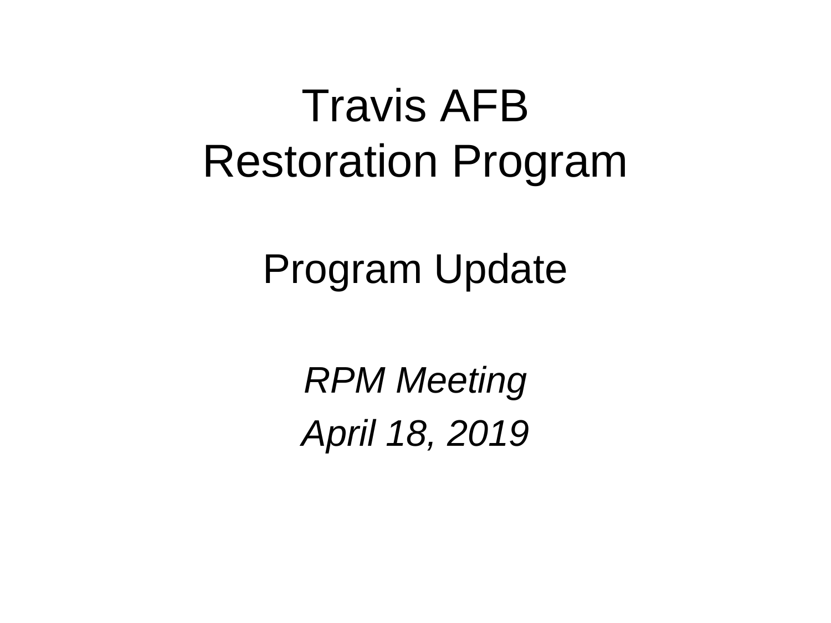## Travis AFB Restoration Program

## Program Update

*RPM Meeting April 18, 2019*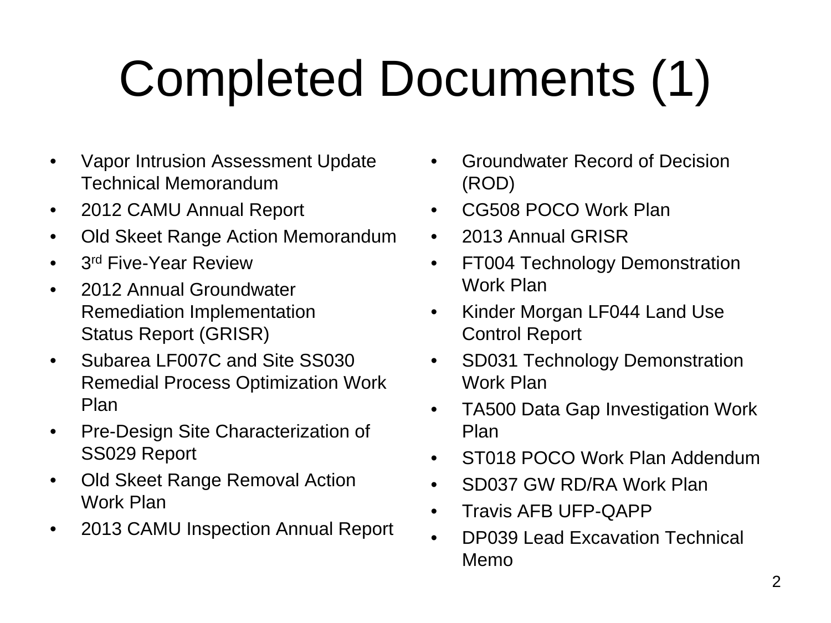# Completed Documents (1)

- Vapor Intrusion Assessment Update Technical Memorandum
- 2012 CAMU Annual Report
- Old Skeet Range Action Memorandum
- 3<sup>rd</sup> Five-Year Review
- 2012 Annual Groundwater Remediation Implementation Status Report (GRISR)
- Subarea LF007C and Site SS030 Remedial Process Optimization Work Plan
- Pre-Design Site Characterization of SS029 Report
- Old Skeet Range Removal Action Work Plan
- 2013 CAMU Inspection Annual Report
- Groundwater Record of Decision (ROD)
- CG508 POCO Work Plan
- 2013 Annual GRISR
- FT004 Technology Demonstration Work Plan
- Kinder Morgan LF044 Land Use Control Report
- SD031 Technology Demonstration Work Plan
- TA500 Data Gap Investigation Work Plan
- ST018 POCO Work Plan Addendum
- SD037 GW RD/RA Work Plan
- Travis AFB UFP-QAPP
- DP039 Lead Excavation Technical Memo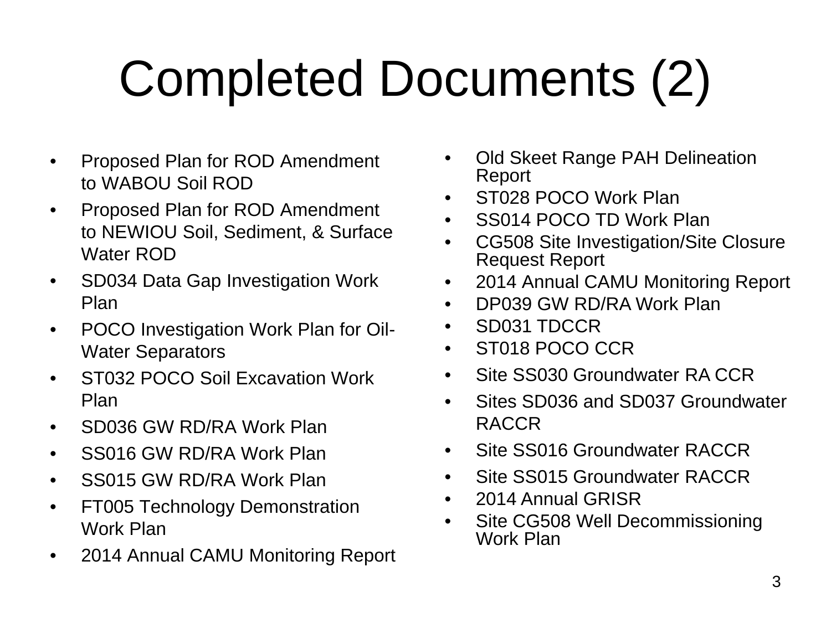# Completed Documents (2)

- Proposed Plan for ROD Amendment to WABOU Soil ROD
- Proposed Plan for ROD Amendment to NEWIOU Soil, Sediment, & Surface Water ROD
- SD034 Data Gap Investigation Work Plan
- POCO Investigation Work Plan for Oil-Water Separators
- ST032 POCO Soil Excavation Work Plan
- SD036 GW RD/RA Work Plan
- SS016 GW RD/RA Work Plan
- SS015 GW RD/RA Work Plan
- FT005 Technology Demonstration Work Plan
- 2014 Annual CAMU Monitoring Report
- Old Skeet Range PAH Delineation Report
- ST028 POCO Work Plan
- SS014 POCO TD Work Plan
- CG508 Site Investigation/Site Closure Request Report
- 2014 Annual CAMU Monitoring Report
- DP039 GW RD/RA Work Plan
- SD031 TDCCR
- ST018 POCO CCR
- Site SS030 Groundwater RA CCR
- Sites SD036 and SD037 Groundwater RACCR
- Site SS016 Groundwater RACCR
- Site SS015 Groundwater RACCR
- 2014 Annual GRISR
- Site CG508 Well Decommissioning Work Plan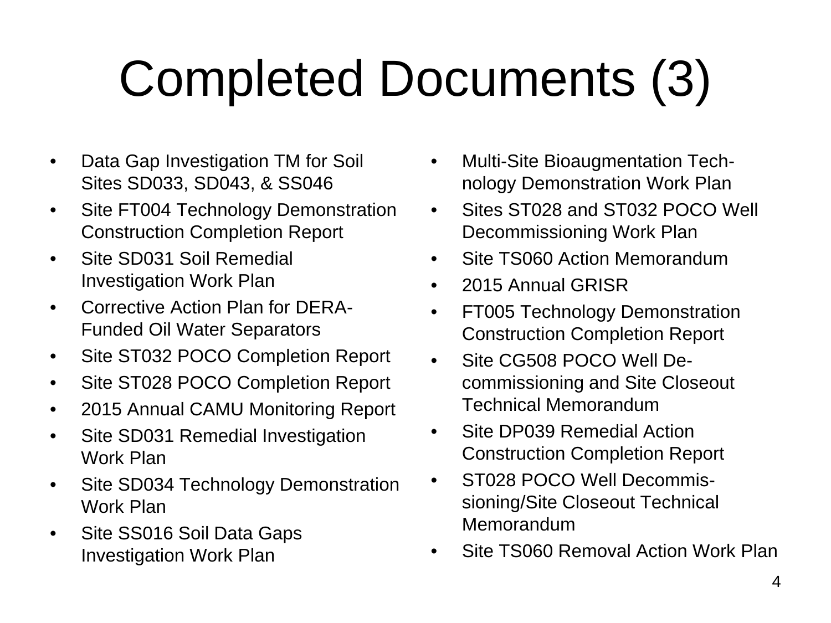# Completed Documents (3)

- Data Gap Investigation TM for Soil Sites SD033, SD043, & SS046
- Site FT004 Technology Demonstration Construction Completion Report
- Site SD031 Soil Remedial Investigation Work Plan
- Corrective Action Plan for DERA-Funded Oil Water Separators
- Site ST032 POCO Completion Report
- Site ST028 POCO Completion Report
- 2015 Annual CAMU Monitoring Report
- Site SD031 Remedial Investigation Work Plan
- Site SD034 Technology Demonstration Work Plan
- Site SS016 Soil Data Gaps Investigation Work Plan
- Multi-Site Bioaugmentation Technology Demonstration Work Plan
- Sites ST028 and ST032 POCO Well Decommissioning Work Plan
- Site TS060 Action Memorandum
- 2015 Annual GRISR
- FT005 Technology Demonstration Construction Completion Report
- Site CG508 POCO Well Decommissioning and Site Closeout Technical Memorandum
- Site DP039 Remedial Action Construction Completion Report
- ST028 POCO Well Decommissioning/Site Closeout Technical Memorandum
- Site TS060 Removal Action Work Plan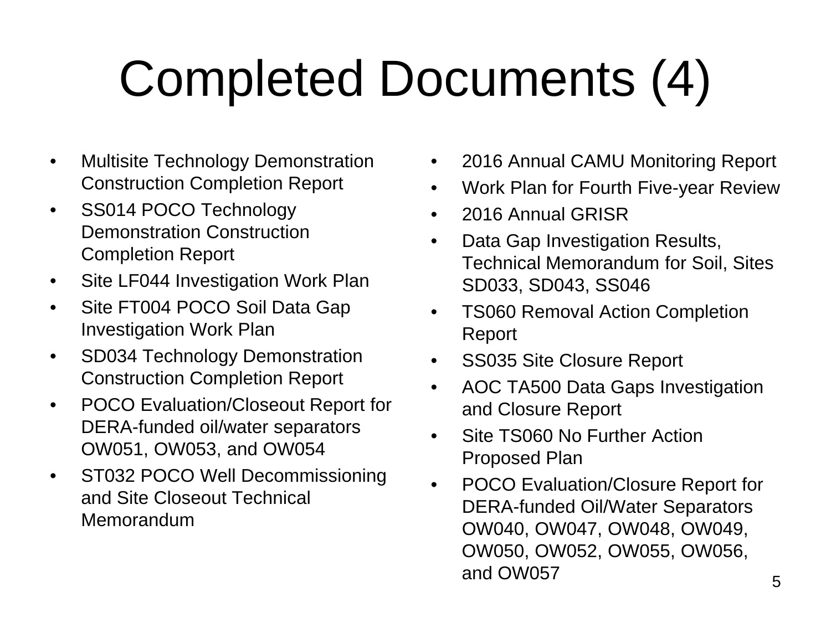# Completed Documents (4)

- Multisite Technology Demonstration Construction Completion Report
- SS014 POCO Technology Demonstration Construction Completion Report
- Site LF044 Investigation Work Plan
- Site FT004 POCO Soil Data Gap Investigation Work Plan
- SD034 Technology Demonstration Construction Completion Report
- POCO Evaluation/Closeout Report for DERA-funded oil/water separators OW051, OW053, and OW054
- ST032 POCO Well Decommissioning and Site Closeout Technical Memorandum
- 2016 Annual CAMU Monitoring Report
- Work Plan for Fourth Five-year Review
- 2016 Annual GRISR
- Data Gap Investigation Results, Technical Memorandum for Soil, Sites SD033, SD043, SS046
- TS060 Removal Action Completion Report
- SS035 Site Closure Report
- AOC TA500 Data Gaps Investigation and Closure Report
- Site TS060 No Further Action Proposed Plan
- POCO Evaluation/Closure Report for DERA-funded Oil/Water Separators OW040, OW047, OW048, OW049, OW050, OW052, OW055, OW056, and OW057 5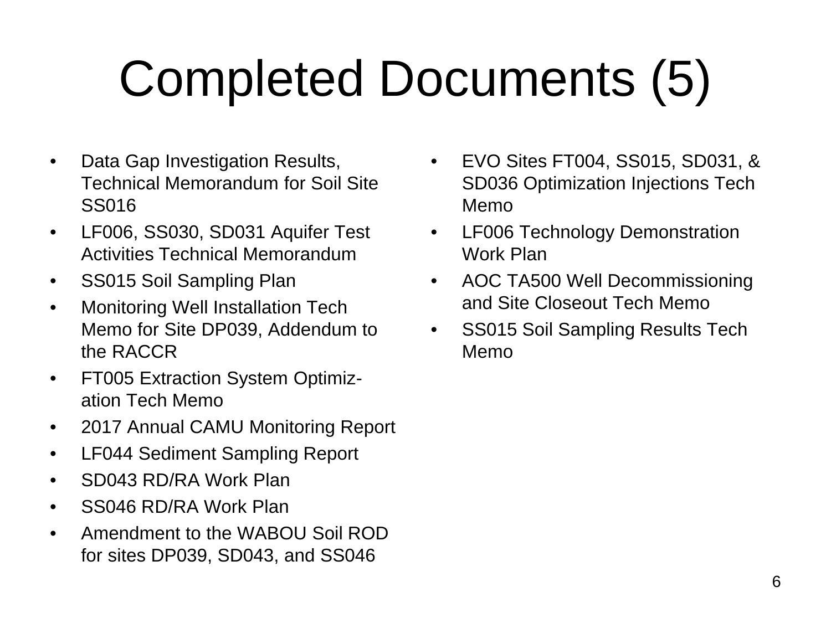# Completed Documents (5)

- Data Gap Investigation Results, Technical Memorandum for Soil Site SS016
- LF006, SS030, SD031 Aquifer Test Activities Technical Memorandum
- SS015 Soil Sampling Plan
- Monitoring Well Installation Tech Memo for Site DP039, Addendum to the RACCR
- FT005 Extraction System Optimization Tech Memo
- 2017 Annual CAMU Monitoring Report
- LF044 Sediment Sampling Report
- SD043 RD/RA Work Plan
- SS046 RD/RA Work Plan
- Amendment to the WABOU Soil ROD for sites DP039, SD043, and SS046
- EVO Sites FT004, SS015, SD031, & SD036 Optimization Injections Tech Memo
- LF006 Technology Demonstration Work Plan
- AOC TA500 Well Decommissioning and Site Closeout Tech Memo
- SS015 Soil Sampling Results Tech Memo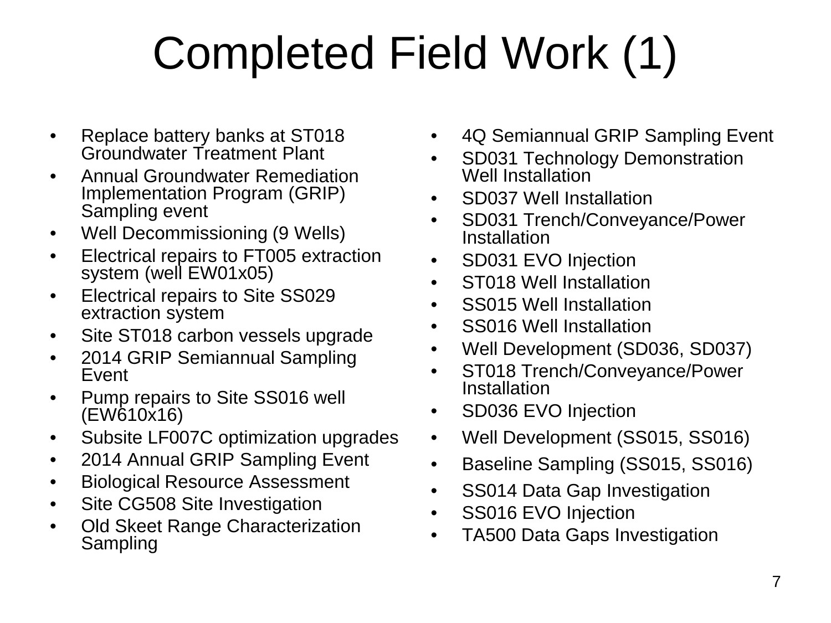# Completed Field Work (1)

- Replace battery banks at ST018 Groundwater Treatment Plant
- Annual Groundwater Remediation Implementation Program (GRIP) Sampling event
- Well Decommissioning (9 Wells)
- Electrical repairs to FT005 extraction system (well EW01x05)
- Electrical repairs to Site SS029 extraction system
- Site ST018 carbon vessels upgrade
- 2014 GRIP Semiannual Sampling Event
- Pump repairs to Site SS016 well (EW610x16)
- Subsite LF007C optimization upgrades
- 2014 Annual GRIP Sampling Event
- Biological Resource Assessment
- Site CG508 Site Investigation
- Old Skeet Range Characterization Sampling
- 4Q Semiannual GRIP Sampling Event
- SD031 Technology Demonstration Well Installation
- SD037 Well Installation
- SD031 Trench/Conveyance/Power Installation
- SD031 EVO Injection
- ST018 Well Installation
- SS015 Well Installation
- SS016 Well Installation
- Well Development (SD036, SD037)
- ST018 Trench/Conveyance/Power **Installation**
- SD036 EVO Injection
- Well Development (SS015, SS016)
- Baseline Sampling (SS015, SS016)
- SS014 Data Gap Investigation
- SS016 EVO Injection
- TA500 Data Gaps Investigation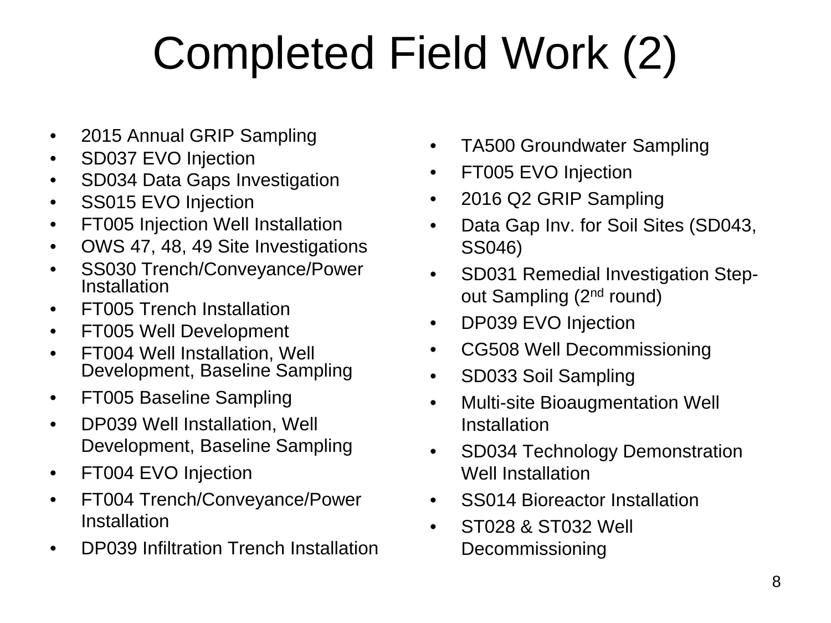# Completed Field Work (2)

- 2015 Annual GRIP Sampling
- SD037 EVO Injection
- SD034 Data Gaps Investigation
- SS015 EVO Injection
- FT005 Injection Well Installation
- OWS 47, 48, 49 Site Investigations
- SS030 Trench/Conveyance/Power Installation
- FT005 Trench Installation
- FT005 Well Development
- FT004 Well Installation, Well Development, Baseline Sampling
- FT005 Baseline Sampling
- DP039 Well Installation, Well Development, Baseline Sampling
- FT004 EVO Injection
- FT004 Trench/Conveyance/Power Installation
- DP039 Infiltration Trench Installation
- TA500 Groundwater Sampling
- FT005 EVO Injection
- 2016 Q2 GRIP Sampling
- Data Gap Inv. for Soil Sites (SD043, SS046)
- SD031 Remedial Investigation Stepout Sampling (2nd round)
- DP039 EVO Injection
- CG508 Well Decommissioning
- SD033 Soil Sampling
- Multi-site Bioaugmentation Well Installation
- SD034 Technology Demonstration Well Installation
- SS014 Bioreactor Installation
- ST028 & ST032 Well Decommissioning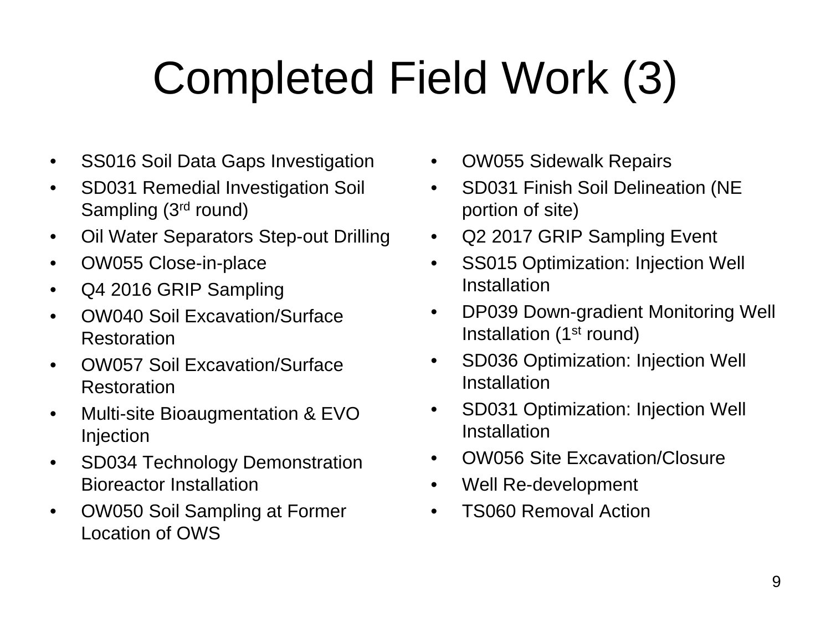# Completed Field Work (3)

- SS016 Soil Data Gaps Investigation
- SD031 Remedial Investigation Soil Sampling (3rd round)
- Oil Water Separators Step-out Drilling
- OW055 Close-in-place
- Q4 2016 GRIP Sampling
- OW040 Soil Excavation/Surface Restoration
- OW057 Soil Excavation/Surface Restoration
- Multi-site Bioaugmentation & EVO Injection
- SD034 Technology Demonstration Bioreactor Installation
- OW050 Soil Sampling at Former Location of OWS
- OW055 Sidewalk Repairs
- SD031 Finish Soil Delineation (NE portion of site)
- Q2 2017 GRIP Sampling Event
- SS015 Optimization: Injection Well **Installation**
- DP039 Down-gradient Monitoring Well Installation  $(1<sup>st</sup>$  round)
- SD036 Optimization: Injection Well **Installation**
- SD031 Optimization: Injection Well **Installation**
- OW056 Site Excavation/Closure
- Well Re-development
- TS060 Removal Action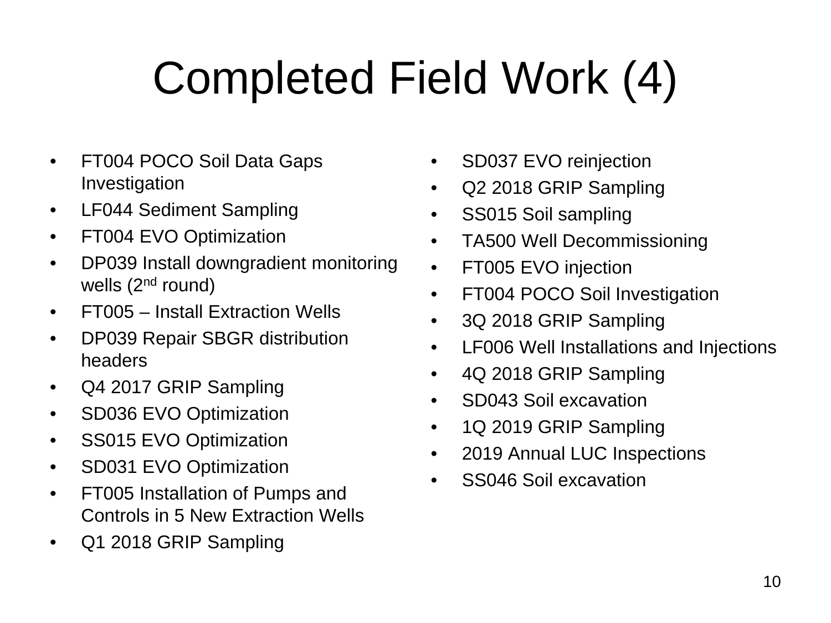# Completed Field Work (4)

- FT004 POCO Soil Data Gaps Investigation
- LF044 Sediment Sampling
- FT004 EVO Optimization
- DP039 Install downgradient monitoring wells  $(2<sup>nd</sup>$  round)
- FT005 Install Extraction Wells
- DP039 Repair SBGR distribution headers
- Q4 2017 GRIP Sampling
- SD036 EVO Optimization
- SS015 EVO Optimization
- SD031 EVO Optimization
- FT005 Installation of Pumps and Controls in 5 New Extraction Wells
- Q1 2018 GRIP Sampling
- SD037 EVO reinjection
- Q2 2018 GRIP Sampling
- SS015 Soil sampling
- TA500 Well Decommissioning
- FT005 EVO injection
- FT004 POCO Soil Investigation
- 3Q 2018 GRIP Sampling
- LF006 Well Installations and Injections
- 4Q 2018 GRIP Sampling
- SD043 Soil excavation
- 1Q 2019 GRIP Sampling
- 2019 Annual LUC Inspections
- SS046 Soil excavation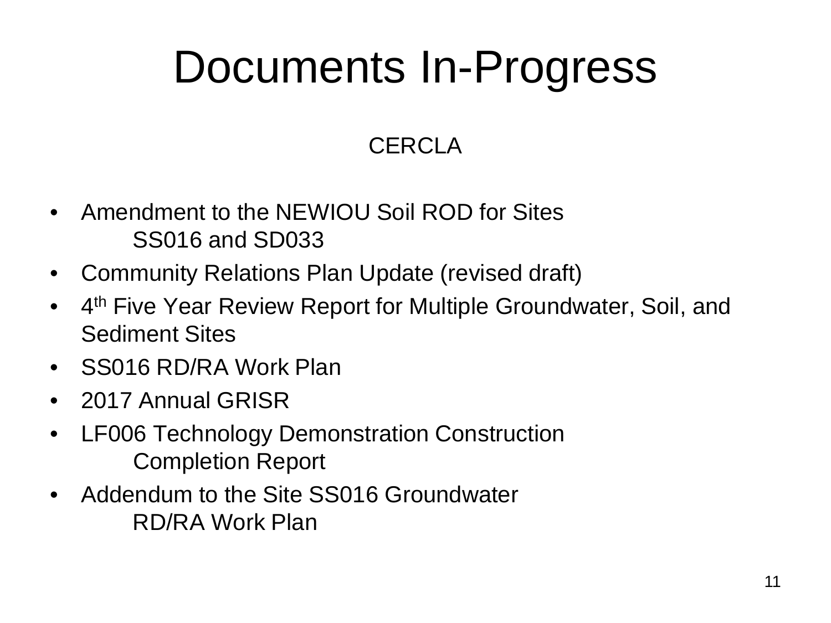## Documents In-Progress

## **CERCLA**

- Amendment to the NEWIOU Soil ROD for Sites SS016 and SD033
- Community Relations Plan Update (revised draft)
- 4<sup>th</sup> Five Year Review Report for Multiple Groundwater, Soil, and Sediment Sites
- SS016 RD/RA Work Plan
- 2017 Annual GRISR
- LF006 Technology Demonstration Construction Completion Report
- Addendum to the Site SS016 Groundwater RD/RA Work Plan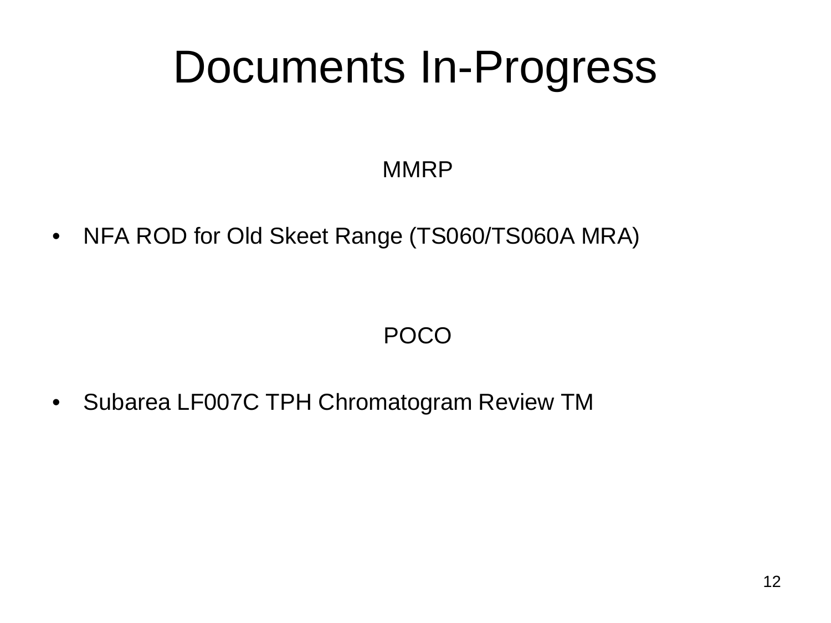## Documents In-Progress

## **MMRP**

• NFA ROD for Old Skeet Range (TS060/TS060A MRA)

## POCO

• Subarea LF007C TPH Chromatogram Review TM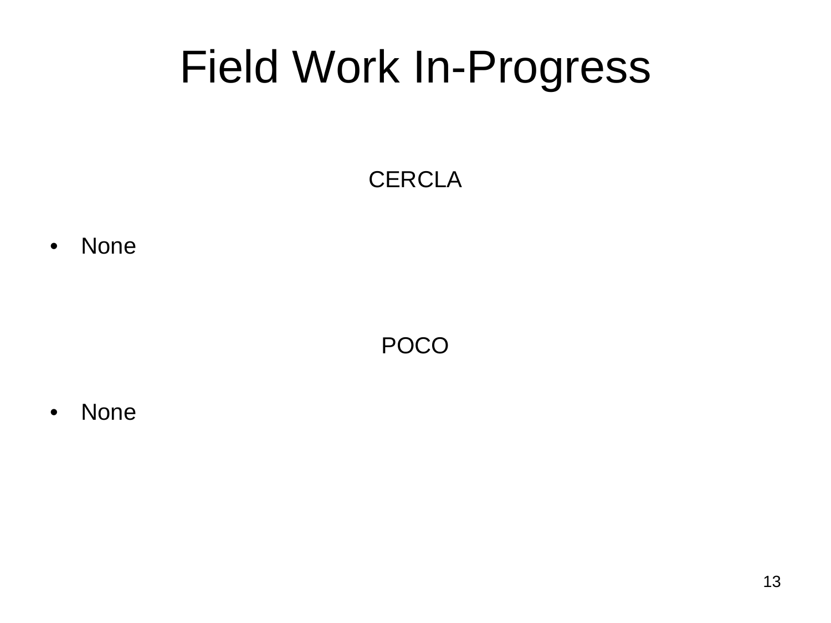## Field Work In-Progress

## **CERCLA**

• None

POCO

• None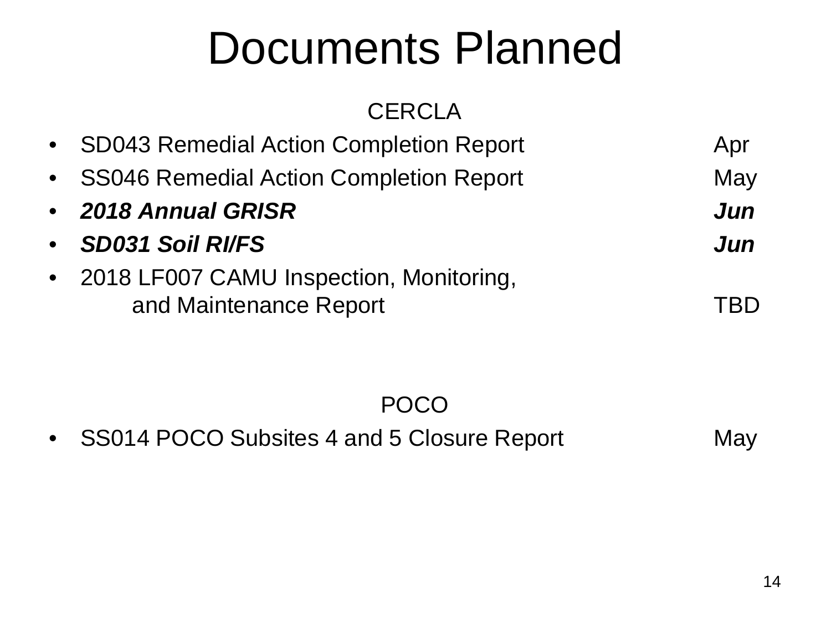## Documents Planned

## **CERCLA**

| • SD043 Remedial Action Completion Report                           | Apr |
|---------------------------------------------------------------------|-----|
| • SS046 Remedial Action Completion Report                           | May |
| • 2018 Annual GRISR                                                 | Jun |
| • SD031 Soil RI/FS                                                  | Jun |
| • 2018 LF007 CAMU Inspection, Monitoring,<br>and Maintenance Report | TRD |

POCO

• SS014 POCO Subsites 4 and 5 Closure Report May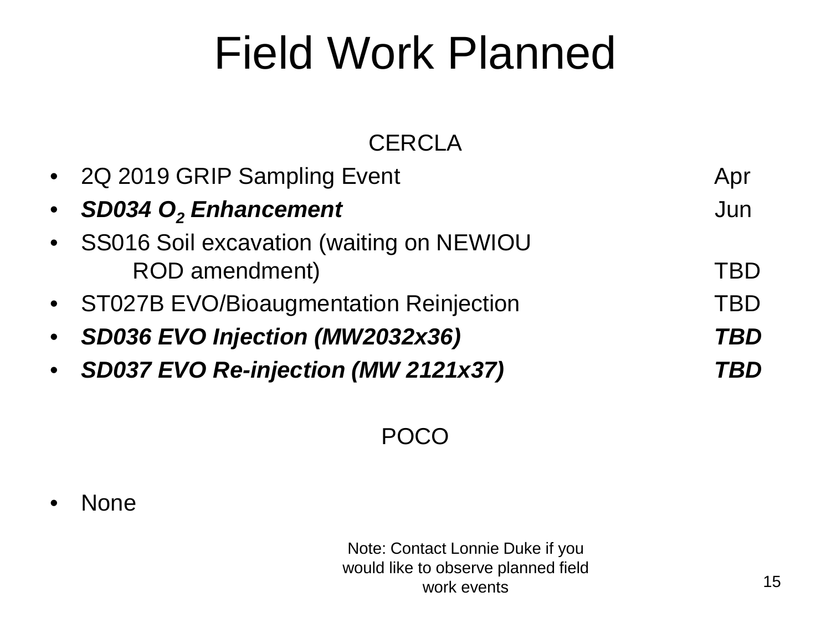## Field Work Planned

## **CERCLA**

| • 2Q 2019 GRIP Sampling Event                                | Apr        |
|--------------------------------------------------------------|------------|
| • SD034 O <sub>2</sub> Enhancement                           | Jun        |
| • SS016 Soil excavation (waiting on NEWIOU<br>ROD amendment) | <b>TBD</b> |
| • ST027B EVO/Bioaugmentation Reinjection                     | <b>TBD</b> |
| • SD036 EVO Injection (MW2032x36)                            | TBD        |
| • SD037 EVO Re-injection (MW 2121x37)                        | TBD        |

## POCO

• None

Note: Contact Lonnie Duke if you would like to observe planned field work events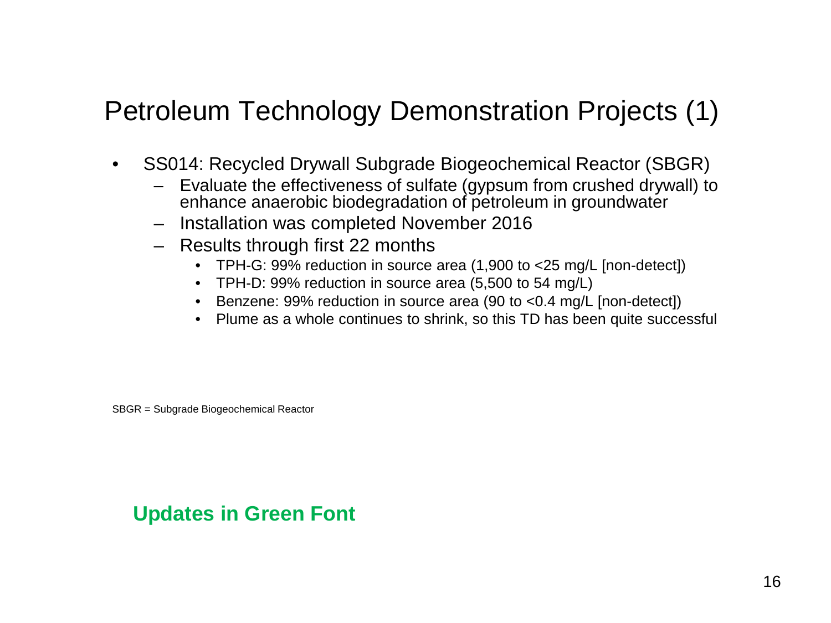## Petroleum Technology Demonstration Projects (1)

- SS014: Recycled Drywall Subgrade Biogeochemical Reactor (SBGR)
	- Evaluate the effectiveness of sulfate (gypsum from crushed drywall) to enhance anaerobic biodegradation of petroleum in groundwater
	- Installation was completed November 2016
	- Results through first 22 months
		- TPH-G: 99% reduction in source area (1,900 to <25 mg/L [non-detect])
		- TPH-D: 99% reduction in source area (5,500 to 54 mg/L)
		- Benzene: 99% reduction in source area (90 to <0.4 mg/L [non-detect])
		- Plume as a whole continues to shrink, so this TD has been quite successful

SBGR = Subgrade Biogeochemical Reactor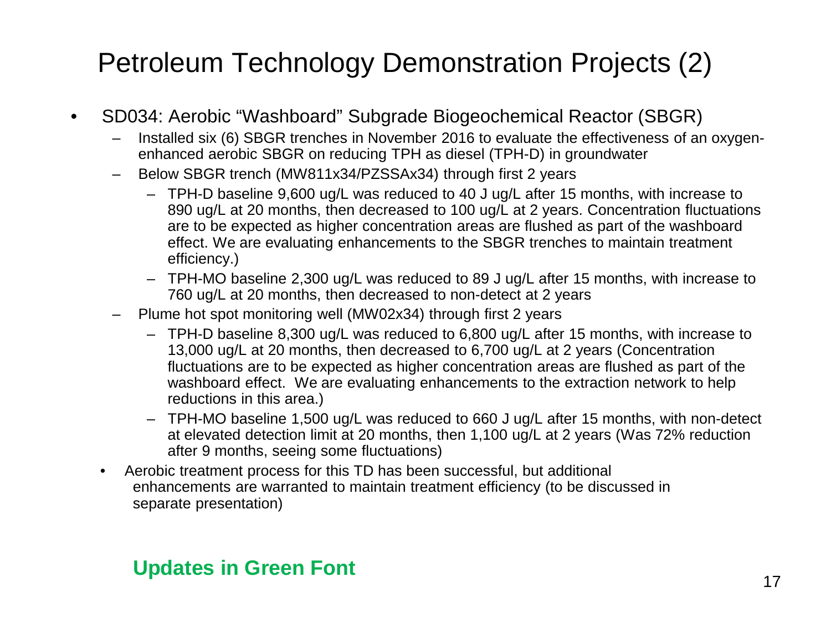## Petroleum Technology Demonstration Projects (2)

- SD034: Aerobic "Washboard" Subgrade Biogeochemical Reactor (SBGR)
	- Installed six (6) SBGR trenches in November 2016 to evaluate the effectiveness of an oxygenenhanced aerobic SBGR on reducing TPH as diesel (TPH-D) in groundwater
	- Below SBGR trench (MW811x34/PZSSAx34) through first 2 years
		- TPH-D baseline 9,600 ug/L was reduced to 40 J ug/L after 15 months, with increase to 890 ug/L at 20 months, then decreased to 100 ug/L at 2 years. Concentration fluctuations are to be expected as higher concentration areas are flushed as part of the washboard effect. We are evaluating enhancements to the SBGR trenches to maintain treatment efficiency.)
		- TPH-MO baseline 2,300 ug/L was reduced to 89 J ug/L after 15 months, with increase to 760 ug/L at 20 months, then decreased to non-detect at 2 years
	- Plume hot spot monitoring well (MW02x34) through first 2 years
		- TPH-D baseline 8,300 ug/L was reduced to 6,800 ug/L after 15 months, with increase to 13,000 ug/L at 20 months, then decreased to 6,700 ug/L at 2 years (Concentration fluctuations are to be expected as higher concentration areas are flushed as part of the washboard effect. We are evaluating enhancements to the extraction network to help reductions in this area.)
		- TPH-MO baseline 1,500 ug/L was reduced to 660 J ug/L after 15 months, with non-detect at elevated detection limit at 20 months, then 1,100 ug/L at 2 years (Was 72% reduction after 9 months, seeing some fluctuations)
	- Aerobic treatment process for this TD has been successful, but additional enhancements are warranted to maintain treatment efficiency (to be discussed in separate presentation)

## **17 Indianagement Contract Contract Contract Contract Contract Contract Contract Contract Contract Contract Contract Contract Contract Contract Contract Contract Contract Contract Contract Contract Contract Contract Contra**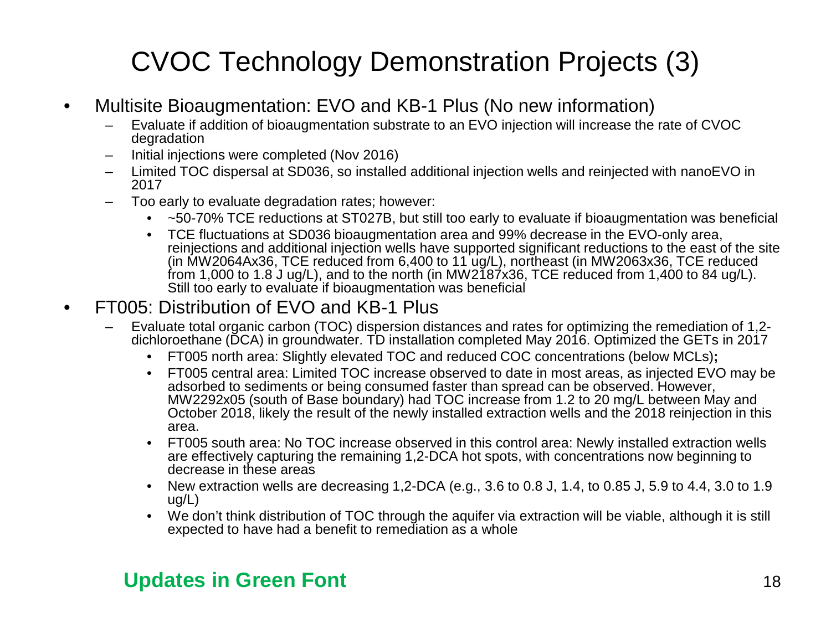## CVOC Technology Demonstration Projects (3)

- Multisite Bioaugmentation: EVO and KB-1 Plus (No new information)
	- Evaluate if addition of bioaugmentation substrate to an EVO injection will increase the rate of CVOC degradation
	- Initial injections were completed (Nov 2016)
	- Limited TOC dispersal at SD036, so installed additional injection wells and reinjected with nanoEVO in 2017
	- Too early to evaluate degradation rates; however:
		- ~50-70% TCE reductions at ST027B, but still too early to evaluate if bioaugmentation was beneficial
		- TCE fluctuations at SD036 bioaugmentation area and 99% decrease in the EVO-only area, reinjections and additional injection wells have supported significant reductions to the east of the site (in MW2064Ax36, TCE reduced from 6,400 to 11 ug/L), northeast (in MW2063x36, TCE reduced from 1,000 to 1.8 J ug/L), and to the north (in MW2187x36, TCE reduced from 1,400 to 84 ug/L). Still too early to evaluate if bioaugmentation was beneficial

#### • FT005: Distribution of EVO and KB-1 Plus

- Evaluate total organic carbon (TOC) dispersion distances and rates for optimizing the remediation of 1,2- dichloroethane (DCA) in groundwater. TD installation completed May 2016. Optimized the GETs in 2017
	- FT005 north area: Slightly elevated TOC and reduced COC concentrations (below MCLs)**;**
	- FT005 central area: Limited TOC increase observed to date in most areas, as injected EVO may be adsorbed to sediments or being consumed faster than spread can be observed. However, MW2292x05 (south of Base boundary) had TOC increase from 1.2 to 20 mg/L between May and October 2018, likely the result of the newly installed extraction wells and the 2018 reinjection in this area.
	- FT005 south area: No TOC increase observed in this control area: Newly installed extraction wells are effectively capturing the remaining 1,2-DCA hot spots, with concentrations now beginning to decrease in these areas
	- New extraction wells are decreasing 1,2-DCA (e.g., 3.6 to 0.8 J, 1.4, to 0.85 J, 5.9 to 4.4, 3.0 to 1.9 ug/L)
	- We don't think distribution of TOC through the aquifer via extraction will be viable, although it is still expected to have had a benefit to remediation as a whole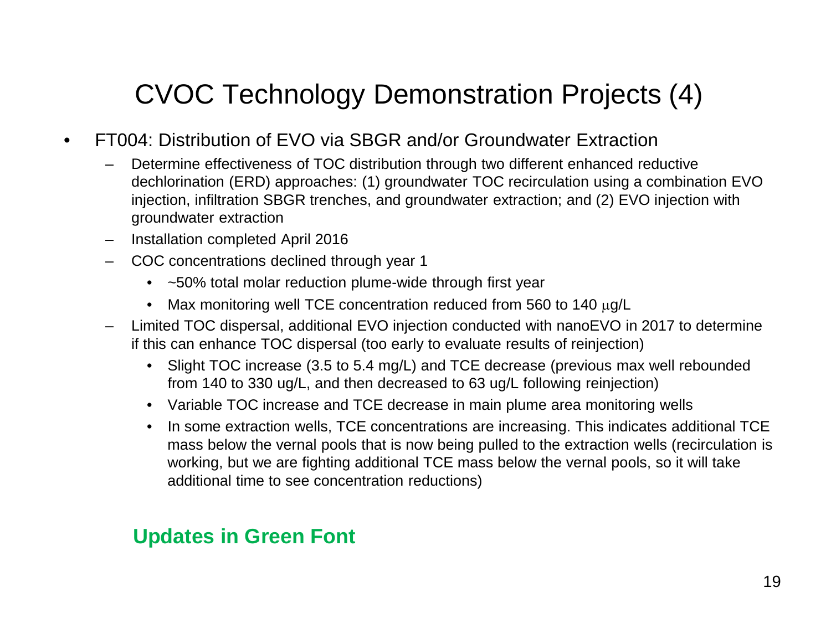## CVOC Technology Demonstration Projects (4)

- FT004: Distribution of EVO via SBGR and/or Groundwater Extraction
	- Determine effectiveness of TOC distribution through two different enhanced reductive dechlorination (ERD) approaches: (1) groundwater TOC recirculation using a combination EVO injection, infiltration SBGR trenches, and groundwater extraction; and (2) EVO injection with groundwater extraction
	- Installation completed April 2016
	- COC concentrations declined through year 1
		- ~50% total molar reduction plume-wide through first year
		- Max monitoring well TCE concentration reduced from 560 to 140 µg/L
	- Limited TOC dispersal, additional EVO injection conducted with nanoEVO in 2017 to determine if this can enhance TOC dispersal (too early to evaluate results of reinjection)
		- Slight TOC increase (3.5 to 5.4 mg/L) and TCE decrease (previous max well rebounded from 140 to 330 ug/L, and then decreased to 63 ug/L following reinjection)
		- Variable TOC increase and TCE decrease in main plume area monitoring wells
		- In some extraction wells, TCE concentrations are increasing. This indicates additional TCE mass below the vernal pools that is now being pulled to the extraction wells (recirculation is working, but we are fighting additional TCE mass below the vernal pools, so it will take additional time to see concentration reductions)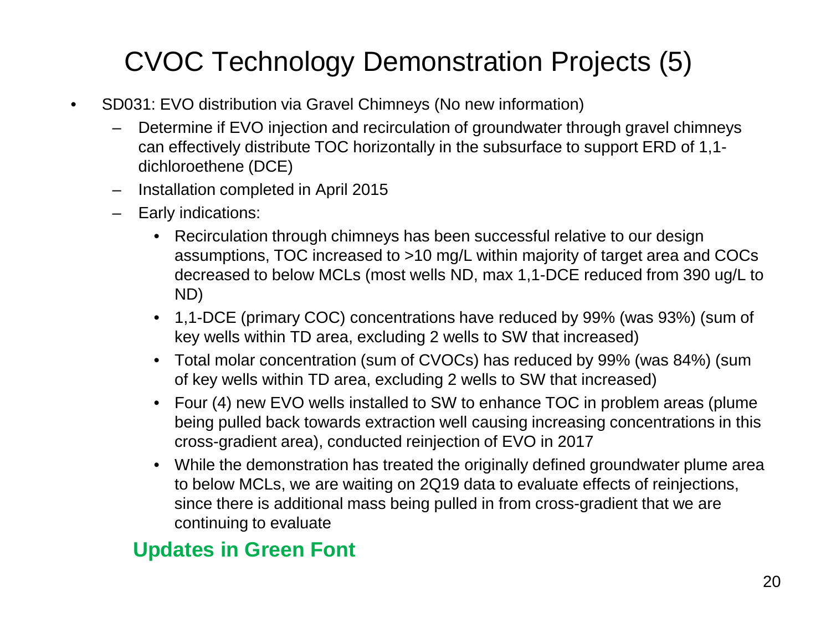## CVOC Technology Demonstration Projects (5)

- SD031: EVO distribution via Gravel Chimneys (No new information)
	- Determine if EVO injection and recirculation of groundwater through gravel chimneys can effectively distribute TOC horizontally in the subsurface to support ERD of 1,1 dichloroethene (DCE)
	- Installation completed in April 2015
	- Early indications:
		- Recirculation through chimneys has been successful relative to our design assumptions, TOC increased to >10 mg/L within majority of target area and COCs decreased to below MCLs (most wells ND, max 1,1-DCE reduced from 390 ug/L to ND)
		- 1,1-DCE (primary COC) concentrations have reduced by 99% (was 93%) (sum of key wells within TD area, excluding 2 wells to SW that increased)
		- Total molar concentration (sum of CVOCs) has reduced by 99% (was 84%) (sum of key wells within TD area, excluding 2 wells to SW that increased)
		- Four (4) new EVO wells installed to SW to enhance TOC in problem areas (plume being pulled back towards extraction well causing increasing concentrations in this cross-gradient area), conducted reinjection of EVO in 2017
		- While the demonstration has treated the originally defined groundwater plume area to below MCLs, we are waiting on 2Q19 data to evaluate effects of reinjections, since there is additional mass being pulled in from cross-gradient that we are continuing to evaluate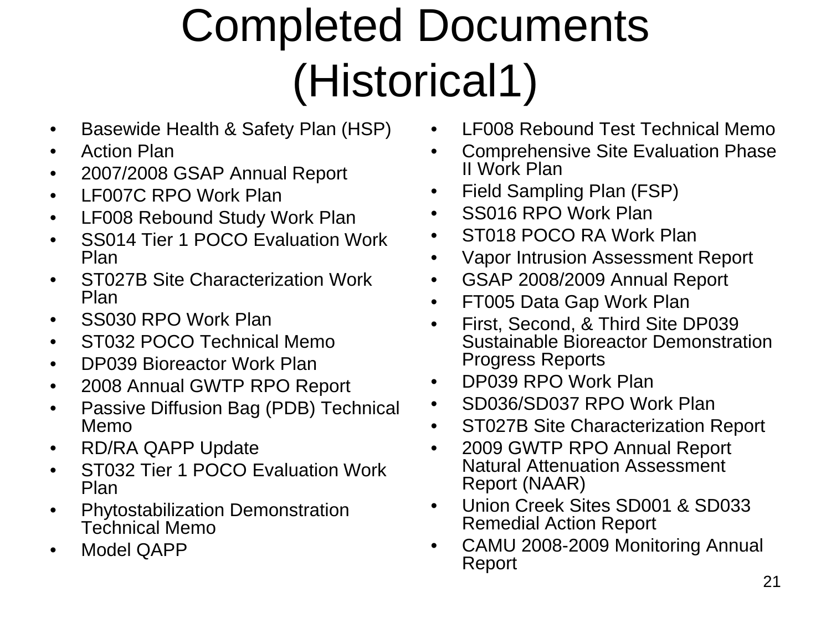# Completed Documents (Historical1)

- Basewide Health & Safety Plan (HSP)
- Action Plan
- 2007/2008 GSAP Annual Report
- LF007C RPO Work Plan
- LF008 Rebound Study Work Plan
- SS014 Tier 1 POCO Evaluation Work Plan
- ST027B Site Characterization Work Plan
- SS030 RPO Work Plan
- ST032 POCO Technical Memo
- DP039 Bioreactor Work Plan
- 2008 Annual GWTP RPO Report
- Passive Diffusion Bag (PDB) Technical Memo
- RD/RA QAPP Update
- ST032 Tier 1 POCO Evaluation Work Plan
- Phytostabilization Demonstration Technical Memo
- Model QAPP
- LF008 Rebound Test Technical Memo
- Comprehensive Site Evaluation Phase II Work Plan
- Field Sampling Plan (FSP)
- SS016 RPO Work Plan
- ST018 POCO RA Work Plan
- Vapor Intrusion Assessment Report
- GSAP 2008/2009 Annual Report
- FT005 Data Gap Work Plan
- First, Second, & Third Site DP039 Sustainable Bioreactor Demonstration Progress Reports
- DP039 RPO Work Plan
- SD036/SD037 RPO Work Plan
- ST027B Site Characterization Report
- 2009 GWTP RPO Annual Report Natural Attenuation Assessment Report (NAAR)
- Union Creek Sites SD001 & SD033 Remedial Action Report
- CAMU 2008-2009 Monitoring Annual Report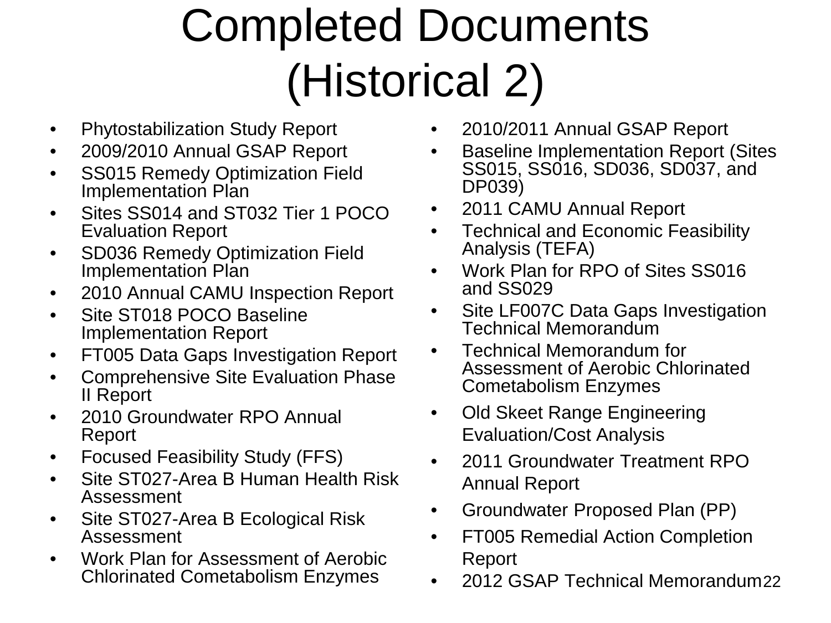# Completed Documents (Historical 2)

- Phytostabilization Study Report
- 2009/2010 Annual GSAP Report
- SS015 Remedy Optimization Field Implementation Plan
- Sites SS014 and ST032 Tier 1 POCO Evaluation Report
- SD036 Remedy Optimization Field Implementation Plan
- 2010 Annual CAMU Inspection Report
- Site ST018 POCO Baseline Implementation Report
- FT005 Data Gaps Investigation Report
- Comprehensive Site Evaluation Phase II Report
- 2010 Groundwater RPO Annual Report
- Focused Feasibility Study (FFS)
- Site ST027-Area B Human Health Risk Assessment
- Site ST027-Area B Ecological Risk Assessment
- Work Plan for Assessment of Aerobic Chlorinated Cometabolism Enzymes
- 2010/2011 Annual GSAP Report
- Baseline Implementation Report (Sites SS015, SS016, SD036, SD037, and DP039)
- 2011 CAMU Annual Report
- Technical and Economic Feasibility Analysis (TEFA)
- Work Plan for RPO of Sites SS016 and SS029
- Site LF007C Data Gaps Investigation Technical Memorandum
- Technical Memorandum for Assessment of Aerobic Chlorinated Cometabolism Enzymes
- Old Skeet Range Engineering Evaluation/Cost Analysis
- 2011 Groundwater Treatment RPO Annual Report
- Groundwater Proposed Plan (PP)
- FT005 Remedial Action Completion Report
- 2012 GSAP Technical Memorandum22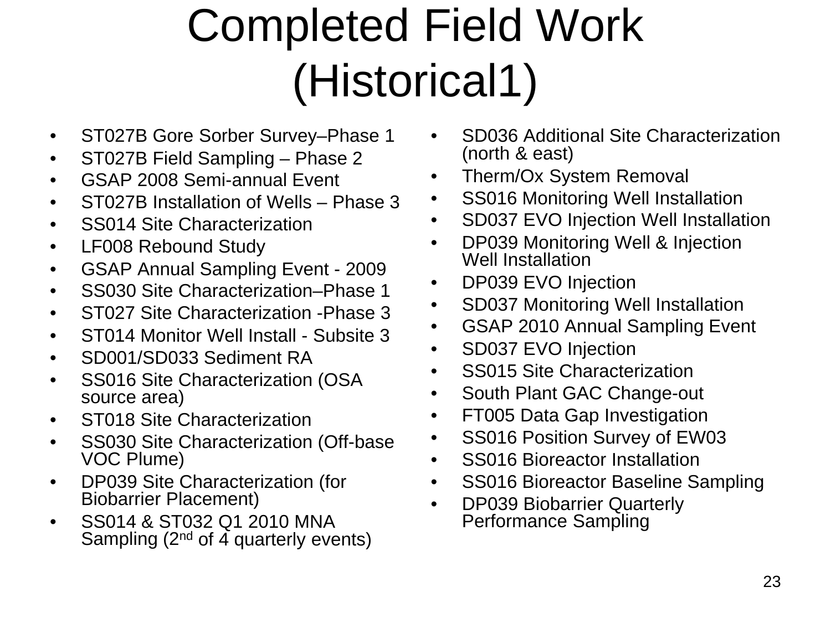## Completed Field Work (Historical1)

- ST027B Gore Sorber Survey–Phase 1
- ST027B Field Sampling Phase 2
- GSAP 2008 Semi-annual Event
- ST027B Installation of Wells Phase 3
- SS014 Site Characterization
- LF008 Rebound Study
- GSAP Annual Sampling Event 2009
- SS030 Site Characterization–Phase 1
- ST027 Site Characterization Phase 3
- ST014 Monitor Well Install Subsite 3
- SD001/SD033 Sediment RA
- SS016 Site Characterization (OSA source area)
- ST018 Site Characterization
- SS030 Site Characterization (Off-base VOC Plume)
- DP039 Site Characterization (for Biobarrier Placement)
- SS014 & ST032 Q1 2010 MNA Sampling (2<sup>nd</sup> of 4 quarterly events)
- SD036 Additional Site Characterization (north & east)
- Therm/Ox System Removal
- SS016 Monitoring Well Installation
- SD037 EVO Injection Well Installation
- DP039 Monitoring Well & Injection Well Installation
- DP039 EVO Injection
- SD037 Monitoring Well Installation
- GSAP 2010 Annual Sampling Event
- SD037 EVO Injection
- SS015 Site Characterization
- South Plant GAC Change-out
- FT005 Data Gap Investigation
- SS016 Position Survey of EW03
- SS016 Bioreactor Installation
- SS016 Bioreactor Baseline Sampling
- DP039 Biobarrier Quarterly Performance Sampling